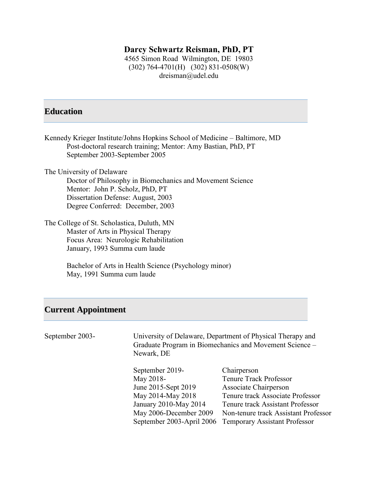# **Darcy Schwartz Reisman, PhD, PT**

4565 Simon Road Wilmington, DE 19803 (302) 764-4701(H) (302) 831-0508(W) dreisman@udel.edu

# **Education**

| Kennedy Krieger Institute/Johns Hopkins School of Medicine – Baltimore, MD<br>Post-doctoral research training; Mentor: Amy Bastian, PhD, PT<br>September 2003-September 2005 |  |  |
|------------------------------------------------------------------------------------------------------------------------------------------------------------------------------|--|--|
|                                                                                                                                                                              |  |  |
| The University of Delaware                                                                                                                                                   |  |  |
| Doctor of Philosophy in Biomechanics and Movement Science                                                                                                                    |  |  |
| Mentor: John P. Scholz, PhD, PT                                                                                                                                              |  |  |
| Dissertation Defense: August, 2003                                                                                                                                           |  |  |
| Degree Conferred: December, 2003                                                                                                                                             |  |  |
| The College of St. Scholastica, Duluth, MN                                                                                                                                   |  |  |
| Master of Arts in Physical Therapy                                                                                                                                           |  |  |
| Focus Area: Neurologic Rehabilitation                                                                                                                                        |  |  |
| January, 1993 Summa cum laude                                                                                                                                                |  |  |
| Bachelor of Arts in Health Science (Psychology minor)                                                                                                                        |  |  |

# **Current Appointment**

May, 1991 Summa cum laude

| September 2003- | University of Delaware, Department of Physical Therapy and<br>Graduate Program in Biomechanics and Movement Science –<br>Newark, DE |                                      |
|-----------------|-------------------------------------------------------------------------------------------------------------------------------------|--------------------------------------|
|                 | September 2019-                                                                                                                     | Chairperson                          |
|                 | May 2018-                                                                                                                           | <b>Tenure Track Professor</b>        |
|                 | June 2015-Sept 2019                                                                                                                 | Associate Chairperson                |
|                 | May 2014-May 2018                                                                                                                   | Tenure track Associate Professor     |
|                 | January 2010-May 2014                                                                                                               | Tenure track Assistant Professor     |
|                 | May 2006-December 2009                                                                                                              | Non-tenure track Assistant Professor |
|                 | September 2003-April 2006                                                                                                           | <b>Temporary Assistant Professor</b> |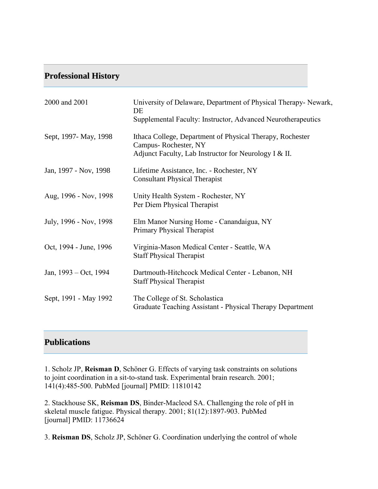# **Professional History**

| 2000 and 2001          | University of Delaware, Department of Physical Therapy- Newark,<br>DE<br>Supplemental Faculty: Instructor, Advanced Neurotherapeutics      |
|------------------------|--------------------------------------------------------------------------------------------------------------------------------------------|
| Sept, 1997 - May, 1998 | Ithaca College, Department of Physical Therapy, Rochester<br>Campus-Rochester, NY<br>Adjunct Faculty, Lab Instructor for Neurology I & II. |
| Jan, 1997 - Nov, 1998  | Lifetime Assistance, Inc. - Rochester, NY<br><b>Consultant Physical Therapist</b>                                                          |
| Aug, 1996 - Nov, 1998  | Unity Health System - Rochester, NY<br>Per Diem Physical Therapist                                                                         |
| July, 1996 - Nov, 1998 | Elm Manor Nursing Home - Canandaigua, NY<br>Primary Physical Therapist                                                                     |
| Oct, 1994 - June, 1996 | Virginia-Mason Medical Center - Seattle, WA<br><b>Staff Physical Therapist</b>                                                             |
| Jan, 1993 – Oct, 1994  | Dartmouth-Hitchcock Medical Center - Lebanon, NH<br><b>Staff Physical Therapist</b>                                                        |
| Sept, 1991 - May 1992  | The College of St. Scholastica<br>Graduate Teaching Assistant - Physical Therapy Department                                                |

# **Publications**

1. Scholz JP, **Reisman D**, Schöner G. Effects of varying task constraints on solutions to joint coordination in a sit-to-stand task. Experimental brain research. 2001; 141(4):485-500. PubMed [journal] PMID: 11810142

2. Stackhouse SK, **Reisman DS**, Binder-Macleod SA. Challenging the role of pH in skeletal muscle fatigue. Physical therapy. 2001; 81(12):1897-903. PubMed [journal] PMID: 11736624

3. **Reisman DS**, Scholz JP, Schöner G. Coordination underlying the control of whole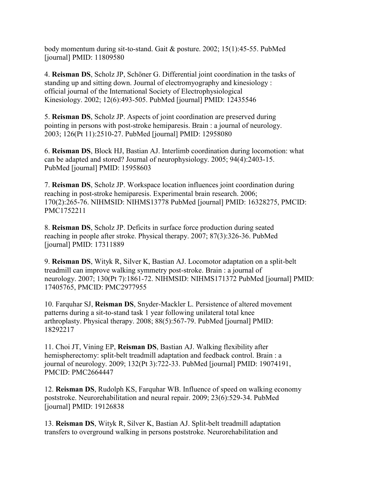body momentum during sit-to-stand. Gait & posture. 2002; 15(1):45-55. PubMed [journal] PMID: 11809580

4. **Reisman DS**, Scholz JP, Schöner G. Differential joint coordination in the tasks of standing up and sitting down. Journal of electromyography and kinesiology : official journal of the International Society of Electrophysiological Kinesiology. 2002; 12(6):493-505. PubMed [journal] PMID: 12435546

5. **Reisman DS**, Scholz JP. Aspects of joint coordination are preserved during pointing in persons with post-stroke hemiparesis. Brain : a journal of neurology. 2003; 126(Pt 11):2510-27. PubMed [journal] PMID: 12958080

6. **Reisman DS**, Block HJ, Bastian AJ. Interlimb coordination during locomotion: what can be adapted and stored? Journal of neurophysiology. 2005; 94(4):2403-15. PubMed [journal] PMID: 15958603

7. **Reisman DS**, Scholz JP. Workspace location influences joint coordination during reaching in post-stroke hemiparesis. Experimental brain research. 2006; 170(2):265-76. NIHMSID: NIHMS13778 PubMed [journal] PMID: 16328275, PMCID: PMC1752211

8. **Reisman DS**, Scholz JP. Deficits in surface force production during seated reaching in people after stroke. Physical therapy. 2007; 87(3):326-36. PubMed [journal] PMID: 17311889

9. **Reisman DS**, Wityk R, Silver K, Bastian AJ. Locomotor adaptation on a split-belt treadmill can improve walking symmetry post-stroke. Brain : a journal of neurology. 2007; 130(Pt 7):1861-72. NIHMSID: NIHMS171372 PubMed [journal] PMID: 17405765, PMCID: PMC2977955

10. Farquhar SJ, **Reisman DS**, Snyder-Mackler L. Persistence of altered movement patterns during a sit-to-stand task 1 year following unilateral total knee arthroplasty. Physical therapy. 2008; 88(5):567-79. PubMed [journal] PMID: 18292217

11. Choi JT, Vining EP, **Reisman DS**, Bastian AJ. Walking flexibility after hemispherectomy: split-belt treadmill adaptation and feedback control. Brain : a journal of neurology. 2009; 132(Pt 3):722-33. PubMed [journal] PMID: 19074191, PMCID: PMC2664447

12. **Reisman DS**, Rudolph KS, Farquhar WB. Influence of speed on walking economy poststroke. Neurorehabilitation and neural repair. 2009; 23(6):529-34. PubMed [journal] PMID: 19126838

13. **Reisman DS**, Wityk R, Silver K, Bastian AJ. Split-belt treadmill adaptation transfers to overground walking in persons poststroke. Neurorehabilitation and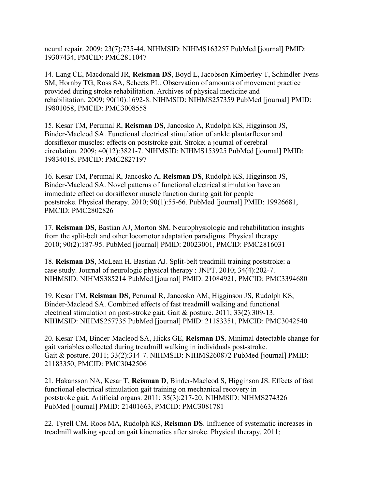neural repair. 2009; 23(7):735-44. NIHMSID: NIHMS163257 PubMed [journal] PMID: 19307434, PMCID: PMC2811047

14. Lang CE, Macdonald JR, **Reisman DS**, Boyd L, Jacobson Kimberley T, Schindler-Ivens SM, Hornby TG, Ross SA, Scheets PL. Observation of amounts of movement practice provided during stroke rehabilitation. Archives of physical medicine and rehabilitation. 2009; 90(10):1692-8. NIHMSID: NIHMS257359 PubMed [journal] PMID: 19801058, PMCID: PMC3008558

15. Kesar TM, Perumal R, **Reisman DS**, Jancosko A, Rudolph KS, Higginson JS, Binder-Macleod SA. Functional electrical stimulation of ankle plantarflexor and dorsiflexor muscles: effects on poststroke gait. Stroke; a journal of cerebral circulation. 2009; 40(12):3821-7. NIHMSID: NIHMS153925 PubMed [journal] PMID: 19834018, PMCID: PMC2827197

16. Kesar TM, Perumal R, Jancosko A, **Reisman DS**, Rudolph KS, Higginson JS, Binder-Macleod SA. Novel patterns of functional electrical stimulation have an immediate effect on dorsiflexor muscle function during gait for people poststroke. Physical therapy. 2010; 90(1):55-66. PubMed [journal] PMID: 19926681, PMCID: PMC2802826

17. **Reisman DS**, Bastian AJ, Morton SM. Neurophysiologic and rehabilitation insights from the split-belt and other locomotor adaptation paradigms. Physical therapy. 2010; 90(2):187-95. PubMed [journal] PMID: 20023001, PMCID: PMC2816031

18. **Reisman DS**, McLean H, Bastian AJ. Split-belt treadmill training poststroke: a case study. Journal of neurologic physical therapy : JNPT. 2010; 34(4):202-7. NIHMSID: NIHMS385214 PubMed [journal] PMID: 21084921, PMCID: PMC3394680

19. Kesar TM, **Reisman DS**, Perumal R, Jancosko AM, Higginson JS, Rudolph KS, Binder-Macleod SA. Combined effects of fast treadmill walking and functional electrical stimulation on post-stroke gait. Gait & posture. 2011; 33(2):309-13. NIHMSID: NIHMS257735 PubMed [journal] PMID: 21183351, PMCID: PMC3042540

20. Kesar TM, Binder-Macleod SA, Hicks GE, **Reisman DS**. Minimal detectable change for gait variables collected during treadmill walking in individuals post-stroke. Gait & posture. 2011; 33(2):314-7. NIHMSID: NIHMS260872 PubMed [journal] PMID: 21183350, PMCID: PMC3042506

21. Hakansson NA, Kesar T, **Reisman D**, Binder-Macleod S, Higginson JS. Effects of fast functional electrical stimulation gait training on mechanical recovery in poststroke gait. Artificial organs. 2011; 35(3):217-20. NIHMSID: NIHMS274326 PubMed [journal] PMID: 21401663, PMCID: PMC3081781

22. Tyrell CM, Roos MA, Rudolph KS, **Reisman DS**. Influence of systematic increases in treadmill walking speed on gait kinematics after stroke. Physical therapy. 2011;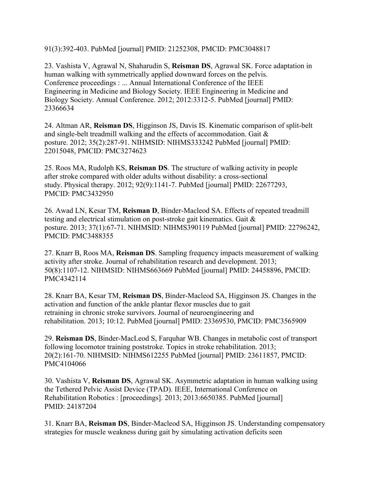91(3):392-403. PubMed [journal] PMID: 21252308, PMCID: PMC3048817

23. Vashista V, Agrawal N, Shaharudin S, **Reisman DS**, Agrawal SK. Force adaptation in human walking with symmetrically applied downward forces on the pelvis. Conference proceedings : ... Annual International Conference of the IEEE Engineering in Medicine and Biology Society. IEEE Engineering in Medicine and Biology Society. Annual Conference. 2012; 2012:3312-5. PubMed [journal] PMID: 23366634

24. Altman AR, **Reisman DS**, Higginson JS, Davis IS. Kinematic comparison of split-belt and single-belt treadmill walking and the effects of accommodation. Gait & posture. 2012; 35(2):287-91. NIHMSID: NIHMS333242 PubMed [journal] PMID: 22015048, PMCID: PMC3274623

25. Roos MA, Rudolph KS, **Reisman DS**. The structure of walking activity in people after stroke compared with older adults without disability: a cross-sectional study. Physical therapy. 2012; 92(9):1141-7. PubMed [journal] PMID: 22677293, PMCID: PMC3432950

26. Awad LN, Kesar TM, **Reisman D**, Binder-Macleod SA. Effects of repeated treadmill testing and electrical stimulation on post-stroke gait kinematics. Gait & posture. 2013; 37(1):67-71. NIHMSID: NIHMS390119 PubMed [journal] PMID: 22796242, PMCID: PMC3488355

27. Knarr B, Roos MA, **Reisman DS**. Sampling frequency impacts measurement of walking activity after stroke. Journal of rehabilitation research and development. 2013; 50(8):1107-12. NIHMSID: NIHMS663669 PubMed [journal] PMID: 24458896, PMCID: PMC4342114

28. Knarr BA, Kesar TM, **Reisman DS**, Binder-Macleod SA, Higginson JS. Changes in the activation and function of the ankle plantar flexor muscles due to gait retraining in chronic stroke survivors. Journal of neuroengineering and rehabilitation. 2013; 10:12. PubMed [journal] PMID: 23369530, PMCID: PMC3565909

29. **Reisman DS**, Binder-MacLeod S, Farquhar WB. Changes in metabolic cost of transport following locomotor training poststroke. Topics in stroke rehabilitation. 2013; 20(2):161-70. NIHMSID: NIHMS612255 PubMed [journal] PMID: 23611857, PMCID: PMC4104066

30. Vashista V, **Reisman DS**, Agrawal SK. Asymmetric adaptation in human walking using the Tethered Pelvic Assist Device (TPAD). IEEE, International Conference on Rehabilitation Robotics : [proceedings]. 2013; 2013:6650385. PubMed [journal] PMID: 24187204

31. Knarr BA, **Reisman DS**, Binder-Macleod SA, Higginson JS. Understanding compensatory strategies for muscle weakness during gait by simulating activation deficits seen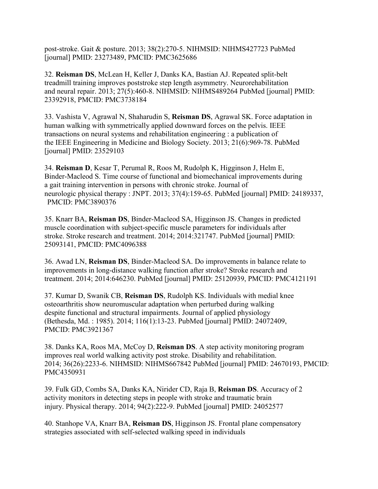post-stroke. Gait & posture. 2013; 38(2):270-5. NIHMSID: NIHMS427723 PubMed [journal] PMID: 23273489, PMCID: PMC3625686

32. **Reisman DS**, McLean H, Keller J, Danks KA, Bastian AJ. Repeated split-belt treadmill training improves poststroke step length asymmetry. Neurorehabilitation and neural repair. 2013; 27(5):460-8. NIHMSID: NIHMS489264 PubMed [journal] PMID: 23392918, PMCID: PMC3738184

33. Vashista V, Agrawal N, Shaharudin S, **Reisman DS**, Agrawal SK. Force adaptation in human walking with symmetrically applied downward forces on the pelvis. IEEE transactions on neural systems and rehabilitation engineering : a publication of the IEEE Engineering in Medicine and Biology Society. 2013; 21(6):969-78. PubMed [journal] PMID: 23529103

34. **Reisman D**, Kesar T, Perumal R, Roos M, Rudolph K, Higginson J, Helm E, Binder-Macleod S. Time course of functional and biomechanical improvements during a gait training intervention in persons with chronic stroke. Journal of neurologic physical therapy : JNPT. 2013; 37(4):159-65. PubMed [journal] PMID: 24189337, PMCID: PMC3890376

35. Knarr BA, **Reisman DS**, Binder-Macleod SA, Higginson JS. Changes in predicted muscle coordination with subject-specific muscle parameters for individuals after stroke. Stroke research and treatment. 2014; 2014:321747. PubMed [journal] PMID: 25093141, PMCID: PMC4096388

36. Awad LN, **Reisman DS**, Binder-Macleod SA. Do improvements in balance relate to improvements in long-distance walking function after stroke? Stroke research and treatment. 2014; 2014:646230. PubMed [journal] PMID: 25120939, PMCID: PMC4121191

37. Kumar D, Swanik CB, **Reisman DS**, Rudolph KS. Individuals with medial knee osteoarthritis show neuromuscular adaptation when perturbed during walking despite functional and structural impairments. Journal of applied physiology (Bethesda, Md. : 1985). 2014; 116(1):13-23. PubMed [journal] PMID: 24072409, PMCID: PMC3921367

38. Danks KA, Roos MA, McCoy D, **Reisman DS**. A step activity monitoring program improves real world walking activity post stroke. Disability and rehabilitation. 2014; 36(26):2233-6. NIHMSID: NIHMS667842 PubMed [journal] PMID: 24670193, PMCID: PMC4350931

39. Fulk GD, Combs SA, Danks KA, Nirider CD, Raja B, **Reisman DS**. Accuracy of 2 activity monitors in detecting steps in people with stroke and traumatic brain injury. Physical therapy. 2014; 94(2):222-9. PubMed [journal] PMID: 24052577

40. Stanhope VA, Knarr BA, **Reisman DS**, Higginson JS. Frontal plane compensatory strategies associated with self-selected walking speed in individuals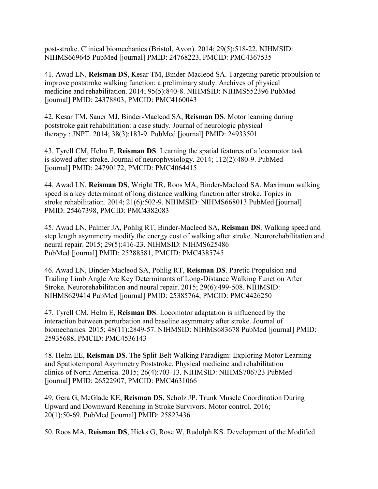post-stroke. Clinical biomechanics (Bristol, Avon). 2014; 29(5):518-22. NIHMSID: NIHMS669645 PubMed [journal] PMID: 24768223, PMCID: PMC4367535

41. Awad LN, **Reisman DS**, Kesar TM, Binder-Macleod SA. Targeting paretic propulsion to improve poststroke walking function: a preliminary study. Archives of physical medicine and rehabilitation. 2014; 95(5):840-8. NIHMSID: NIHMS552396 PubMed [journal] PMID: 24378803, PMCID: PMC4160043

42. Kesar TM, Sauer MJ, Binder-Macleod SA, **Reisman DS**. Motor learning during poststroke gait rehabilitation: a case study. Journal of neurologic physical therapy : JNPT. 2014; 38(3):183-9. PubMed [journal] PMID: 24933501

43. Tyrell CM, Helm E, **Reisman DS**. Learning the spatial features of a locomotor task is slowed after stroke. Journal of neurophysiology. 2014; 112(2):480-9. PubMed [journal] PMID: 24790172, PMCID: PMC4064415

44. Awad LN, **Reisman DS**, Wright TR, Roos MA, Binder-Macleod SA. Maximum walking speed is a key determinant of long distance walking function after stroke. Topics in stroke rehabilitation. 2014; 21(6):502-9. NIHMSID: NIHMS668013 PubMed [journal] PMID: 25467398, PMCID: PMC4382083

45. Awad LN, Palmer JA, Pohlig RT, Binder-Macleod SA, **Reisman DS**. Walking speed and step length asymmetry modify the energy cost of walking after stroke. Neurorehabilitation and neural repair. 2015; 29(5):416-23. NIHMSID: NIHMS625486 PubMed [journal] PMID: 25288581, PMCID: PMC4385745

46. Awad LN, Binder-Macleod SA, Pohlig RT, **Reisman DS**. Paretic Propulsion and Trailing Limb Angle Are Key Determinants of Long-Distance Walking Function After Stroke. Neurorehabilitation and neural repair. 2015; 29(6):499-508. NIHMSID: NIHMS629414 PubMed [journal] PMID: 25385764, PMCID: PMC4426250

47. Tyrell CM, Helm E, **Reisman DS**. Locomotor adaptation is influenced by the interaction between perturbation and baseline asymmetry after stroke. Journal of biomechanics. 2015; 48(11):2849-57. NIHMSID: NIHMS683678 PubMed [journal] PMID: 25935688, PMCID: PMC4536143

48. Helm EE, **Reisman DS**. The Split-Belt Walking Paradigm: Exploring Motor Learning and Spatiotemporal Asymmetry Poststroke. Physical medicine and rehabilitation clinics of North America. 2015; 26(4):703-13. NIHMSID: NIHMS706723 PubMed [journal] PMID: 26522907, PMCID: PMC4631066

49. Gera G, McGlade KE, **Reisman DS**, Scholz JP. Trunk Muscle Coordination During Upward and Downward Reaching in Stroke Survivors. Motor control. 2016; 20(1):50-69. PubMed [journal] PMID: 25823436

50. Roos MA, **Reisman DS**, Hicks G, Rose W, Rudolph KS. Development of the Modified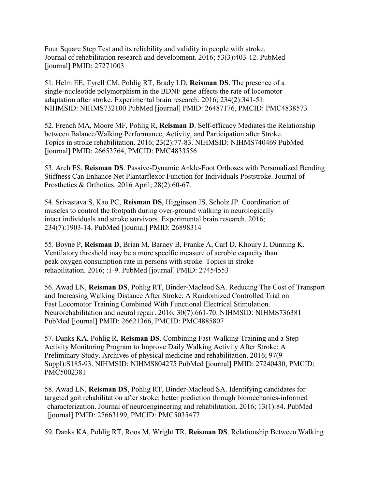Four Square Step Test and its reliability and validity in people with stroke. Journal of rehabilitation research and development. 2016; 53(3):403-12. PubMed [journal] PMID: 27271003

51. Helm EE, Tyrell CM, Pohlig RT, Brady LD, **Reisman DS**. The presence of a single-nucleotide polymorphism in the BDNF gene affects the rate of locomotor adaptation after stroke. Experimental brain research. 2016; 234(2):341-51. NIHMSID: NIHMS732100 PubMed [journal] PMID: 26487176, PMCID: PMC4838573

52. French MA, Moore MF, Pohlig R, **Reisman D**. Self-efficacy Mediates the Relationship between Balance/Walking Performance, Activity, and Participation after Stroke. Topics in stroke rehabilitation. 2016; 23(2):77-83. NIHMSID: NIHMS740469 PubMed [journal] PMID: 26653764, PMCID: PMC4833556

53. Arch ES, **Reisman DS**. Passive-Dynamic Ankle-Foot Orthoses with Personalized Bending Stiffness Can Enhance Net Plantarflexor Function for Individuals Poststroke. Journal of Prosthetics & Orthotics. 2016 April; 28(2):60-67.

54. Srivastava S, Kao PC, **Reisman DS**, Higginson JS, Scholz JP. Coordination of muscles to control the footpath during over-ground walking in neurologically intact individuals and stroke survivors. Experimental brain research. 2016; 234(7):1903-14. PubMed [journal] PMID: 26898314

55. Boyne P, **Reisman D**, Brian M, Barney B, Franke A, Carl D, Khoury J, Dunning K. Ventilatory threshold may be a more specific measure of aerobic capacity than peak oxygen consumption rate in persons with stroke. Topics in stroke rehabilitation. 2016; :1-9. PubMed [journal] PMID: 27454553

56. Awad LN, **Reisman DS**, Pohlig RT, Binder-Macleod SA. Reducing The Cost of Transport and Increasing Walking Distance After Stroke: A Randomized Controlled Trial on Fast Locomotor Training Combined With Functional Electrical Stimulation. Neurorehabilitation and neural repair. 2016; 30(7):661-70. NIHMSID: NIHMS736381 PubMed [journal] PMID: 26621366, PMCID: PMC4885807

57. Danks KA, Pohlig R, **Reisman DS**. Combining Fast-Walking Training and a Step Activity Monitoring Program to Improve Daily Walking Activity After Stroke: A Preliminary Study. Archives of physical medicine and rehabilitation. 2016; 97(9 Suppl):S185-93. NIHMSID: NIHMS804275 PubMed [journal] PMID: 27240430, PMCID: PMC5002381

58. Awad LN, **Reisman DS**, Pohlig RT, Binder-Macleod SA. Identifying candidates for targeted gait rehabilitation after stroke: better prediction through biomechanics-informed characterization. Journal of neuroengineering and rehabilitation. 2016; 13(1):84. PubMed [journal] PMID: 27663199, PMCID: PMC5035477

59. Danks KA, Pohlig RT, Roos M, Wright TR, **Reisman DS**. Relationship Between Walking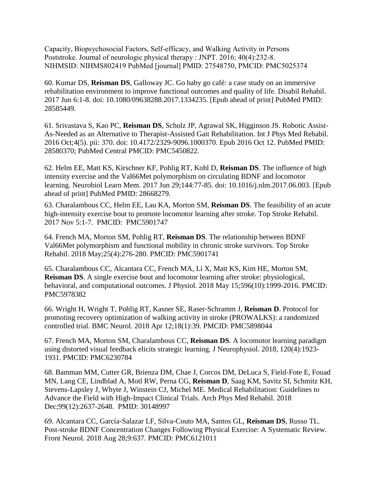Capacity, Biopsychosocial Factors, Self-efficacy, and Walking Activity in Persons Poststroke. Journal of neurologic physical therapy : JNPT. 2016; 40(4):232-8. NIHMSID: NIHMS802419 PubMed [journal] PMID: 27548750, PMCID: PMC5025374

60. Kumar DS, **Reisman DS**, Galloway JC. [Go baby go café: a case study on an immersive](https://www.ncbi.nlm.nih.gov/pubmed/28585449)  [rehabilitation environment to improve functional outcomes and quality of life.](https://www.ncbi.nlm.nih.gov/pubmed/28585449) Disabil Rehabil. 2017 Jun 6:1-8. doi: 10.1080/09638288.2017.1334235. [Epub ahead of print] PubMed PMID: 28585449.

61. Srivastava S, Kao PC, **Reisman DS**, Scholz JP, Agrawal SK, Higginson JS. [Robotic Assist-](https://www.ncbi.nlm.nih.gov/pubmed/28580370)[As-Needed as an Alternative to Therapist-Assisted Gait Rehabilitation.](https://www.ncbi.nlm.nih.gov/pubmed/28580370) Int J Phys Med Rehabil. 2016 Oct;4(5). pii: 370. doi: 10.4172/2329-9096.1000370. Epub 2016 Oct 12. PubMed PMID: 28580370; PubMed Central PMCID: PMC5450822.

62. Helm EE, Matt KS, Kirschner KF, Pohlig RT, Kohl D, **Reisman DS**. [The influence of high](https://www.ncbi.nlm.nih.gov/pubmed/28668279)  [intensity exercise and the Val66Met polymorphism on circulating BDNF and locomotor](https://www.ncbi.nlm.nih.gov/pubmed/28668279)  [learning.](https://www.ncbi.nlm.nih.gov/pubmed/28668279) Neurobiol Learn Mem. 2017 Jun 29;144:77-85. doi: 10.1016/j.nlm.2017.06.003. [Epub ahead of print] PubMed PMID: 28668279.

63. Charalambous CC, Helm EE, Lau KA, Morton SM, **Reisman DS**. [The feasibility of an acute](https://www.ncbi.nlm.nih.gov/pubmed/29105605)  [high-intensity exercise bout to promote locomotor learning after stroke.](https://www.ncbi.nlm.nih.gov/pubmed/29105605) Top Stroke Rehabil. 2017 Nov 5:1-7. PMCID: PMC5901747

64. French MA, Morton SM, Pohlig RT, **Reisman DS**. The relationship between BDNF Val66Met polymorphism and functional mobility in chronic stroke survivors. Top Stroke Rehabil. 2018 May;25(4):276-280. PMCID: PMC5901741

65. Charalambous CC, Alcantara CC, French MA, Li X, Matt KS, Kim HE, Morton SM, **Reisman DS**. A single exercise bout and locomotor learning after stroke: physiological, behavioral, and computational outcomes. J Physiol. 2018 May 15;596(10):1999-2016. PMCID: PMC5978382

66. Wright H, Wright T, Pohlig RT, Kasner SE, Raser-Schramm J, **Reisman D**. Protocol for promoting recovery optimization of walking activity in stroke (PROWALKS): a randomized controlled trial. BMC Neurol. 2018 Apr 12;18(1):39. PMCID: PMC5898044

67. French MA, Morton SM, Charalambous CC, **Reisman DS**. A locomotor learning paradigm using distorted visual feedback elicits strategic learning. J Neurophysiol. 2018, 120(4):1923- 1931. PMCID: PMC6230784

68. Bamman MM, Cutter GR, Brienza DM, Chae J, Corcos DM, DeLuca S, Field-Fote E, Fouad MN, Lang CE, Lindblad A, Motl RW, Perna CG, **Reisman D**, Saag KM, Savitz SI, Schmitz KH, Stevens-Lapsley J, Whyte J, Winstein CJ, Michel ME. Medical Rehabilitation: Guidelines to Advance the Field with High-Impact Clinical Trials. Arch Phys Med Rehabil. 2018 Dec;99(12):2637-2648. PMID: 30148997

69. Alcantara CC, García-Salazar LF, Silva-Couto MA, Santos GL, **Reisman DS**, Russo TL. Post-stroke BDNF Concentration Changes Following Physical Exercise: A Systematic Review. Front Neurol. 2018 Aug 28;9:637. PMCID: PMC6121011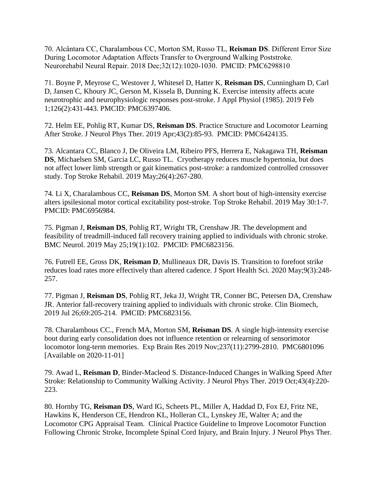70. Alcântara CC, Charalambous CC, Morton SM, Russo TL, **Reisman DS**. Different Error Size During Locomotor Adaptation Affects Transfer to Overground Walking Poststroke. Neurorehabil Neural Repair. 2018 Dec;32(12):1020-1030. PMCID: PMC6298810

71. Boyne P, Meyrose C, Westover J, Whitesel D, Hatter K, **Reisman DS**, Cunningham D, Carl D, Jansen C, Khoury JC, Gerson M, Kissela B, Dunning K. Exercise intensity affects acute neurotrophic and neurophysiologic responses post-stroke. J Appl Physiol (1985). 2019 Feb 1;126(2):431-443. PMCID: PMC6397406.

72. Helm EE, Pohlig RT, Kumar DS, **Reisman DS**. Practice Structure and Locomotor Learning After Stroke. J Neurol Phys Ther. 2019 Apr;43(2):85-93. PMCID: PMC6424135.

73. Alcantara CC, Blanco J, De Oliveira LM, Ribeiro PFS, Herrera E, Nakagawa TH, **Reisman DS**, Michaelsen SM, Garcia LC, Russo TL. Cryotherapy reduces muscle hypertonia, but does not affect lower limb strength or gait kinematics post-stroke: a randomized controlled crossover study. Top Stroke Rehabil. 2019 May;26(4):267-280.

74. Li X, Charalambous CC, **Reisman DS**, Morton SM. A short bout of high-intensity exercise alters ipsilesional motor cortical excitability post-stroke. Top Stroke Rehabil. 2019 May 30:1-7. PMCID: PMC6956984.

75. Pigman J, **Reisman DS**, Pohlig RT, Wright TR, Crenshaw JR. The development and feasibility of treadmill-induced fall recovery training applied to individuals with chronic stroke. BMC Neurol. 2019 May 25;19(1):102. PMCID: PMC6823156.

76. Futrell EE, Gross DK, **Reisman D**, Mullineaux DR, Davis IS. Transition to forefoot strike reduces load rates more effectively than altered cadence. J Sport Health Sci. 2020 May;9(3):248- 257.

77. Pigman J, **Reisman DS**, Pohlig RT, Jeka JJ, Wright TR, Conner BC, Petersen DA, Crenshaw JR. Anterior fall-recovery training applied to individuals with chronic stroke. Clin Biomech, 2019 Jul 26;69:205-214. PMCID: PMC6823156.

78. Charalambous CC., French MA, Morton SM, **Reisman DS**. A single high-intensity exercise bout during early consolidation does not influence retention or relearning of sensorimotor locomotor long-term memories. Exp Brain Res 2019 Nov;237(11):2799-2810. PMC6801096 [Available on 2020-11-01]

79. Awad L, **Reisman D**, Binder-Macleod S. Distance-Induced Changes in Walking Speed After Stroke: Relationship to Community Walking Activity. J Neurol Phys Ther. 2019 Oct;43(4):220- 223.

80. Hornby TG, **Reisman DS**, Ward IG, Scheets PL, Miller A, Haddad D, Fox EJ, Fritz NE, Hawkins K, Henderson CE, Hendron KL, Holleran CL, Lynskey JE, Walter A; and the Locomotor CPG Appraisal Team. Clinical Practice Guideline to Improve Locomotor Function Following Chronic Stroke, Incomplete Spinal Cord Injury, and Brain Injury. J Neurol Phys Ther.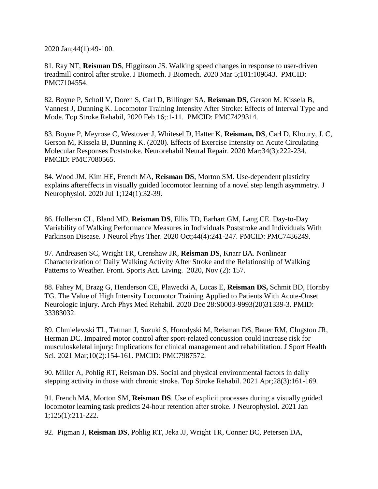2020 Jan;44(1):49-100.

81. Ray NT, **Reisman DS**, Higginson JS. Walking speed changes in response to user-driven treadmill control after stroke. J Biomech. J Biomech. 2020 Mar 5;101:109643. PMCID: PMC7104554.

82. Boyne P, Scholl V, Doren S, Carl D, Billinger SA, **Reisman DS**, Gerson M, Kissela B, Vannest J, Dunning K. Locomotor Training Intensity After Stroke: Effects of Interval Type and Mode. Top Stroke Rehabil, 2020 Feb 16;:1-11. PMCID: PMC7429314.

83. Boyne P, Meyrose C, Westover J, Whitesel D, Hatter K, **Reisman, DS**, Carl D, Khoury, J. C, Gerson M, Kissela B, Dunning K. (2020). Effects of Exercise Intensity on Acute Circulating Molecular Responses Poststroke. Neurorehabil Neural Repair. 2020 Mar;34(3):222-234. PMCID: PMC7080565.

84. Wood JM, Kim HE, French MA, **Reisman DS**, Morton SM. Use-dependent plasticity explains aftereffects in visually guided locomotor learning of a novel step length asymmetry. J Neurophysiol. 2020 Jul 1;124(1):32-39.

86. Holleran CL, Bland MD, **Reisman DS**, Ellis TD, Earhart GM, Lang CE. Day-to-Day Variability of Walking Performance Measures in Individuals Poststroke and Individuals With Parkinson Disease. J Neurol Phys Ther. 2020 Oct;44(4):241-247. PMCID: PMC7486249.

87. Andreasen SC, Wright TR, Crenshaw JR, **Reisman DS**, Knarr BA. Nonlinear Characterization of Daily Walking Activity After Stroke and the Relationship of Walking Patterns to Weather. Front. Sports Act. Living. 2020, Nov (2): 157.

88. Fahey M, Brazg G, Henderson CE, Plawecki A, Lucas E, **Reisman DS,** Schmit BD, Hornby TG. The Value of High Intensity Locomotor Training Applied to Patients With Acute-Onset Neurologic Injury. Arch Phys Med Rehabil. 2020 Dec 28:S0003-9993(20)31339-3. PMID: 33383032.

89. Chmielewski TL, Tatman J, Suzuki S, Horodyski M, Reisman DS, Bauer RM, Clugston JR, Herman DC. Impaired motor control after sport-related concussion could increase risk for musculoskeletal injury: Implications for clinical management and rehabilitation. J Sport Health Sci. 2021 Mar;10(2):154-161. PMCID: PMC7987572.

90. Miller A, Pohlig RT, Reisman DS. Social and physical environmental factors in daily stepping activity in those with chronic stroke. Top Stroke Rehabil. 2021 Apr;28(3):161-169.

91. French MA, Morton SM, **Reisman DS**. Use of explicit processes during a visually guided locomotor learning task predicts 24-hour retention after stroke. J Neurophysiol. 2021 Jan 1;125(1):211-222.

92. Pigman J, **Reisman DS**, Pohlig RT, Jeka JJ, Wright TR, Conner BC, Petersen DA,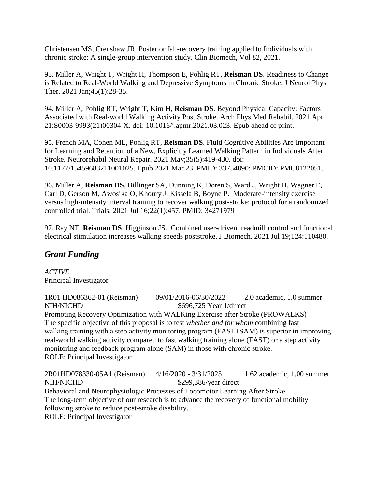Christensen MS, Crenshaw JR. Posterior fall-recovery training applied to Individuals with chronic stroke: A single-group intervention study. Clin Biomech, Vol 82, 2021.

93. Miller A, Wright T, Wright H, Thompson E, Pohlig RT, **Reisman DS**. Readiness to Change is Related to Real-World Walking and Depressive Symptoms in Chronic Stroke. J Neurol Phys Ther. 2021 Jan;45(1):28-35.

94. Miller A, Pohlig RT, Wright T, Kim H, **Reisman DS**. Beyond Physical Capacity: Factors Associated with Real-world Walking Activity Post Stroke. Arch Phys Med Rehabil. 2021 Apr 21:S0003-9993(21)00304-X. doi: 10.1016/j.apmr.2021.03.023. Epub ahead of print.

95. French MA, Cohen ML, Pohlig RT, **Reisman DS**. Fluid Cognitive Abilities Are Important for Learning and Retention of a New, Explicitly Learned Walking Pattern in Individuals After Stroke. Neurorehabil Neural Repair. 2021 May;35(5):419-430. doi: 10.1177/15459683211001025. Epub 2021 Mar 23. PMID: 33754890; PMCID: PMC8122051.

96. Miller A, **Reisman DS**, Billinger SA, Dunning K, Doren S, Ward J, Wright H, Wagner E, Carl D, Gerson M, Awosika O, Khoury J, Kissela B, Boyne P. Moderate-intensity exercise versus high-intensity interval training to recover walking post-stroke: protocol for a randomized controlled trial. Trials. 2021 Jul 16;22(1):457. PMID: 34271979

97. Ray NT, **Reisman DS**, Higginson JS. Combined user-driven treadmill control and functional electrical stimulation increases walking speeds poststroke. J Biomech. 2021 Jul 19;124:110480.

# *Grant Funding*

*ACTIVE* Principal Investigator

[1R01 HD086362-01](https://public.era.nih.gov/grantfolder/piAppDetails/genericStatus.do?encryptedParam=LJOABH8Djeo.IB4oz0oxeTpy4zxKbIbam8PgI2urHomamfBlb5mqhnQ.) (Reisman) 09/01/2016-06/30/2022 2.0 academic, 1.0 summer NIH/NICHD \$696,725 Year 1/direct Promoting Recovery Optimization with WALKing Exercise after Stroke (PROWALKS) The specific objective of this proposal is to test *whether and for whom* combining fast walking training with a step activity monitoring program (FAST+SAM) is superior in improving real-world walking activity compared to fast walking training alone (FAST) or a step activity monitoring and feedback program alone (SAM) in those with chronic stroke. ROLE: Principal Investigator

2R01HD078330-05A1 (Reisman) 4/16/2020 - 3/31/2025 1.62 academic, 1.00 summer NIH/NICHD \$299,386/year direct Behavioral and Neurophysiologic Processes of Locomotor Learning After Stroke The long-term objective of our research is to advance the recovery of functional mobility following stroke to reduce post-stroke disability. ROLE: Principal Investigator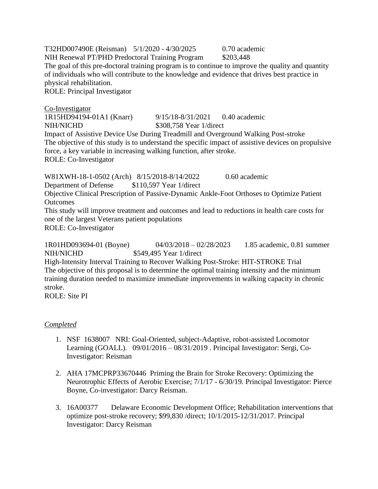T32HD007490E (Reisman) 5/1/2020 - 4/30/2025 0.70 academic NIH Renewal PT/PHD Predoctoral Training Program \$203,448 The goal of this pre-doctoral training program is to continue to improve the quality and quantity of individuals who will contribute to the knowledge and evidence that drives best practice in physical rehabilitation. ROLE: Principal Investigator Co-Investigator 1R15HD94194-01A1 (Knarr) 9/15/18-8/31/2021 0.40 academic NIH/NICHD \$308.758 Year 1/direct

Impact of Assistive Device Use During Treadmill and Overground Walking Post-stroke The objective of this study is to understand the specific impact of assistive devices on propulsive force, a key variable in increasing walking function, after stroke. ROLE: Co-Investigator

W81XWH-18-1-0502 (Arch) 8/15/2018-8/14/2022 0.60 academic Department of Defense \$110,597 Year 1/direct Objective Clinical Prescription of Passive-Dynamic Ankle-Foot Orthoses to Optimize Patient **Outcomes** This study will improve treatment and outcomes and lead to reductions in health care costs for one of the largest Veterans patient populations ROLE: Co-Investigator

1R01HD093694-01 (Boyne) 04/03/2018 – 02/28/2023 1.85 academic, 0.81 summer NIH/NICHD \$549,495 Year 1/direct High-Intensity Interval Training to Recover Walking Post-Stroke: HIT-STROKE Trial The objective of this proposal is to determine the optimal training intensity and the minimum training duration needed to maximize immediate improvements in walking capacity in chronic stroke.

ROLE: Site PI

# *Completed*

- 1. NSF 1638007 NRI: Goal-Oriented, subject-Adaptive, robot-assisted Locomotor Learning (GOALL). 09/01/2016 – 08/31/2019 . Principal Investigator: Sergi, Co-Investigator: Reisman
- 2. AHA 17MCPRP33670446 Priming the Brain for Stroke Recovery: Optimizing the Neurotrophic Effects of Aerobic Exercise; 7/1/17 - 6/30/19. Principal Investigator: Pierce Boyne, Co-investigator: Darcy Reisman.
- 3. 16A00377 Delaware Economic Development Office; Rehabilitation interventions that optimize post-stroke recovery; \$99,830 /direct; 10/1/2015-12/31/2017. Principal Investigator: Darcy Reisman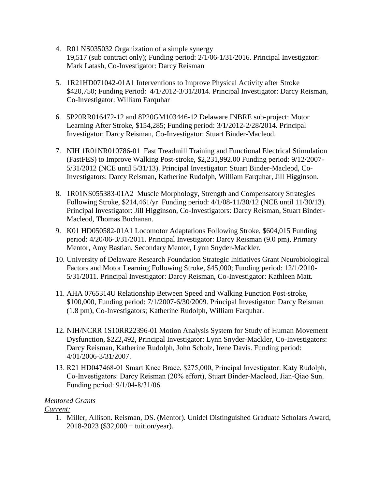- 4. R01 NS035032 Organization of a simple synergy 19,517 (sub contract only); Funding period: 2/1/06-1/31/2016. Principal Investigator: Mark Latash, Co-Investigator: Darcy Reisman
- 5. 1R21HD071042-01A1 Interventions to Improve Physical Activity after Stroke \$420,750; Funding Period: 4/1/2012-3/31/2014. Principal Investigator: Darcy Reisman, Co-Investigator: William Farquhar
- 6. 5P20RR016472-12 and 8P20GM103446-12 Delaware INBRE sub-project: Motor Learning After Stroke, \$154,285; Funding period: 3/1/2012-2/28/2014. Principal Investigator: Darcy Reisman, Co-Investigator: Stuart Binder-Macleod.
- 7. NIH 1R01NR010786-01 Fast Treadmill Training and Functional Electrical Stimulation (FastFES) to Improve Walking Post-stroke, \$2,231,992.00 Funding period: 9/12/2007- 5/31/2012 (NCE until 5/31/13). Principal Investigator: Stuart Binder-Macleod, Co-Investigators: Darcy Reisman, Katherine Rudolph, William Farquhar, Jill Higginson.
- 8. 1R01NS055383-01A2 Muscle Morphology, Strength and Compensatory Strategies Following Stroke, \$214,461/yr Funding period: 4/1/08-11/30/12 (NCE until 11/30/13). Principal Investigator: Jill Higginson, Co-Investigators: Darcy Reisman, Stuart Binder-Macleod, Thomas Buchanan.
- 9. K01 HD050582-01A1 Locomotor Adaptations Following Stroke, \$604,015 Funding period: 4/20/06-3/31/2011. Principal Investigator: Darcy Reisman (9.0 pm), Primary Mentor, Amy Bastian, Secondary Mentor, Lynn Snyder-Mackler.
- 10. University of Delaware Research Foundation Strategic Initiatives Grant Neurobiological Factors and Motor Learning Following Stroke, \$45,000; Funding period: 12/1/2010- 5/31/2011. Principal Investigator: Darcy Reisman, Co-Investigator: Kathleen Matt.
- 11. AHA 0765314U Relationship Between Speed and Walking Function Post-stroke, \$100,000, Funding period: 7/1/2007-6/30/2009. Principal Investigator: Darcy Reisman (1.8 pm), Co-Investigators; Katherine Rudolph, William Farquhar.
- 12. NIH/NCRR 1S10RR22396-01 Motion Analysis System for Study of Human Movement Dysfunction, \$222,492, Principal Investigator: Lynn Snyder-Mackler, Co-Investigators: Darcy Reisman, Katherine Rudolph, John Scholz, Irene Davis. Funding period: 4/01/2006-3/31/2007.
- 13. R21 HD047468-01 Smart Knee Brace, \$275,000, Principal Investigator: Katy Rudolph, Co-Investigators: Darcy Reisman (20% effort), Stuart Binder-Macleod, Jian-Qiao Sun. Funding period: 9/1/04-8/31/06.

# *Mentored Grants*

# *Current:*

1. Miller, Allison. Reisman, DS. (Mentor). Unidel Distinguished Graduate Scholars Award, 2018-2023 (\$32,000 + tuition/year).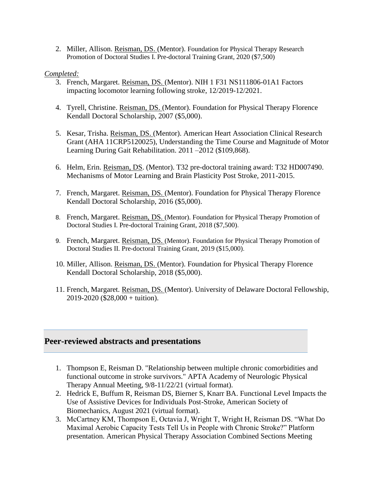2. Miller, Allison. Reisman, DS. (Mentor). Foundation for Physical Therapy Research Promotion of Doctoral Studies I. Pre-doctoral Training Grant, 2020 (\$7,500)

#### *Completed:*

- 3. French, Margaret. Reisman, DS. (Mentor). NIH 1 F31 NS111806-01A1 Factors impacting locomotor learning following stroke, 12/2019-12/2021.
- 4. Tyrell, Christine. Reisman, DS. (Mentor). Foundation for Physical Therapy Florence Kendall Doctoral Scholarship, 2007 (\$5,000).
- 5. Kesar, Trisha. Reisman, DS. (Mentor). American Heart Association Clinical Research Grant (AHA 11CRP5120025), Understanding the Time Course and Magnitude of Motor Learning During Gait Rehabilitation. 2011 –2012 (\$109,868).
- 6. Helm, Erin. Reisman, DS. (Mentor). T32 pre-doctoral training award: T32 HD007490. Mechanisms of Motor Learning and Brain Plasticity Post Stroke, 2011-2015.
- 7. French, Margaret. Reisman, DS. (Mentor). Foundation for Physical Therapy Florence Kendall Doctoral Scholarship, 2016 (\$5,000).
- 8. French, Margaret. Reisman, DS. (Mentor). Foundation for Physical Therapy Promotion of Doctoral Studies I. Pre-doctoral Training Grant, 2018 (\$7,500).
- 9. French, Margaret. Reisman, DS. (Mentor). Foundation for Physical Therapy Promotion of Doctoral Studies II. Pre-doctoral Training Grant, 2019 (\$15,000).
- 10. Miller, Allison. Reisman, DS. (Mentor). Foundation for Physical Therapy Florence Kendall Doctoral Scholarship, 2018 (\$5,000).
- 11. French, Margaret. Reisman, DS. (Mentor). University of Delaware Doctoral Fellowship, 2019-2020 (\$28,000 + tuition).

# **Peer-reviewed abstracts and presentations**

- 1. Thompson E, Reisman D. "Relationship between multiple chronic comorbidities and functional outcome in stroke survivors." APTA Academy of Neurologic Physical Therapy Annual Meeting, 9/8-11/22/21 (virtual format).
- 2. Hedrick E, Buffum R, Reisman DS, Bierner S, Knarr BA. Functional Level Impacts the Use of Assistive Devices for Individuals Post-Stroke, American Society of Biomechanics, August 2021 (virtual format).
- 3. McCartney KM, Thompson E, Octavia J, Wright T, Wright H, Reisman DS. "What Do Maximal Aerobic Capacity Tests Tell Us in People with Chronic Stroke?" Platform presentation. American Physical Therapy Association Combined Sections Meeting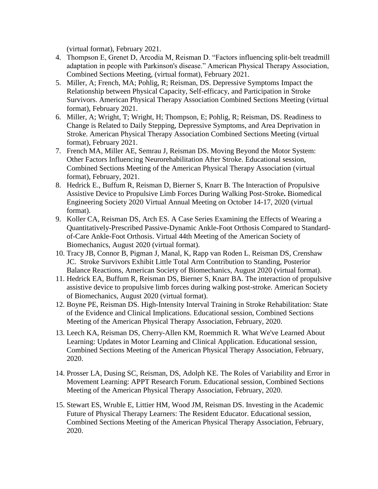(virtual format), February 2021.

- 4. Thompson E, Grenet D, Arcodia M, Reisman D. "Factors influencing split-belt treadmill adaptation in people with Parkinson's disease." American Physical Therapy Association, Combined Sections Meeting, (virtual format), February 2021.
- 5. Miller, A; French, MA; Pohlig, R; Reisman, DS. Depressive Symptoms Impact the Relationship between Physical Capacity, Self-efficacy, and Participation in Stroke Survivors. American Physical Therapy Association Combined Sections Meeting (virtual format), February 2021.
- 6. Miller, A; Wright, T; Wright, H; Thompson, E; Pohlig, R; Reisman, DS. Readiness to Change is Related to Daily Stepping, Depressive Symptoms, and Area Deprivation in Stroke. American Physical Therapy Association Combined Sections Meeting (virtual format), February 2021.
- 7. French MA, Miller AE, Semrau J, Reisman DS. Moving Beyond the Motor System: Other Factors Influencing Neurorehabilitation After Stroke. Educational session, Combined Sections Meeting of the American Physical Therapy Association (virtual format), February, 2021.
- 8. Hedrick E., Buffum R, Reisman D, Bierner S, Knarr B. The Interaction of Propulsive Assistive Device to Propulsive Limb Forces During Walking Post-Stroke**.** Biomedical Engineering Society 2020 Virtual Annual Meeting on October 14-17, 2020 (virtual format).
- 9. Koller CA, Reisman DS, Arch ES. A Case Series Examining the Effects of Wearing a Quantitatively-Prescribed Passive-Dynamic Ankle-Foot Orthosis Compared to Standardof-Care Ankle-Foot Orthosis. Virtual 44th Meeting of the American Society of Biomechanics, August 2020 (virtual format).
- 10. Tracy JB, Connor B, Pigman J, Manal, K, Rapp van Roden L, Reisman DS, Crenshaw JC. Stroke Survivors Exhibit Little Total Arm Contribution to Standing, Posterior Balance Reactions, American Society of Biomechanics, August 2020 (virtual format).
- 11. Hedrick EA, Buffum R, Reisman DS, Bierner S, Knarr BA. The interaction of propulsive assistive device to propulsive limb forces during walking post-stroke. American Society of Biomechanics, August 2020 (virtual format).
- 12. Boyne PE, Reisman DS. High-Intensity Interval Training in Stroke Rehabilitation: State of the Evidence and Clinical Implications. Educational session, Combined Sections Meeting of the American Physical Therapy Association, February, 2020.
- 13. Leech KA, Reisman DS, Cherry-Allen KM, Roemmich R. What We've Learned About Learning: Updates in Motor Learning and Clinical Application. Educational session, Combined Sections Meeting of the American Physical Therapy Association, February, 2020.
- 14. Prosser LA, Dusing SC, Reisman, DS, Adolph KE. The Roles of Variability and Error in Movement Learning: APPT Research Forum. Educational session, Combined Sections Meeting of the American Physical Therapy Association, February, 2020.
- 15. Stewart ES, Wruble E, Littier HM, Wood JM, Reisman DS. Investing in the Academic Future of Physical Therapy Learners: The Resident Educator. Educational session, Combined Sections Meeting of the American Physical Therapy Association, February, 2020.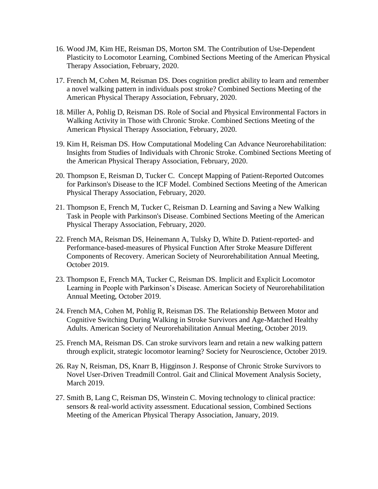- 16. Wood JM, Kim HE, Reisman DS, Morton SM. The Contribution of Use-Dependent Plasticity to Locomotor Learning, Combined Sections Meeting of the American Physical Therapy Association, February, 2020.
- 17. French M, Cohen M, Reisman DS. Does cognition predict ability to learn and remember a novel walking pattern in individuals post stroke? Combined Sections Meeting of the American Physical Therapy Association, February, 2020.
- 18. Miller A, Pohlig D, Reisman DS. Role of Social and Physical Environmental Factors in Walking Activity in Those with Chronic Stroke. Combined Sections Meeting of the American Physical Therapy Association, February, 2020.
- 19. Kim H, Reisman DS. How Computational Modeling Can Advance Neurorehabilitation: Insights from Studies of Individuals with Chronic Stroke. Combined Sections Meeting of the American Physical Therapy Association, February, 2020.
- 20. Thompson E, Reisman D, Tucker C. Concept Mapping of Patient-Reported Outcomes for Parkinson's Disease to the ICF Model. Combined Sections Meeting of the American Physical Therapy Association, February, 2020.
- 21. Thompson E, French M, Tucker C, Reisman D. Learning and Saving a New Walking Task in People with Parkinson's Disease. Combined Sections Meeting of the American Physical Therapy Association, February, 2020.
- 22. French MA, Reisman DS, Heinemann A, Tulsky D, White D. Patient-reported- and Performance-based-measures of Physical Function After Stroke Measure Different Components of Recovery. American Society of Neurorehabilitation Annual Meeting, October 2019.
- 23. Thompson E, French MA, Tucker C, Reisman DS. Implicit and Explicit Locomotor Learning in People with Parkinson's Disease. American Society of Neurorehabilitation Annual Meeting, October 2019.
- 24. French MA, Cohen M, Pohlig R, Reisman DS. The Relationship Between Motor and Cognitive Switching During Walking in Stroke Survivors and Age-Matched Healthy Adults. American Society of Neurorehabilitation Annual Meeting, October 2019.
- 25. French MA, Reisman DS. Can stroke survivors learn and retain a new walking pattern through explicit, strategic locomotor learning? Society for Neuroscience, October 2019.
- 26. Ray N, Reisman, DS, Knarr B, Higginson J. Response of Chronic Stroke Survivors to Novel User-Driven Treadmill Control. Gait and Clinical Movement Analysis Society, March 2019.
- 27. Smith B, Lang C, Reisman DS, Winstein C. Moving technology to clinical practice: sensors & real-world activity assessment. Educational session, Combined Sections Meeting of the American Physical Therapy Association, January, 2019.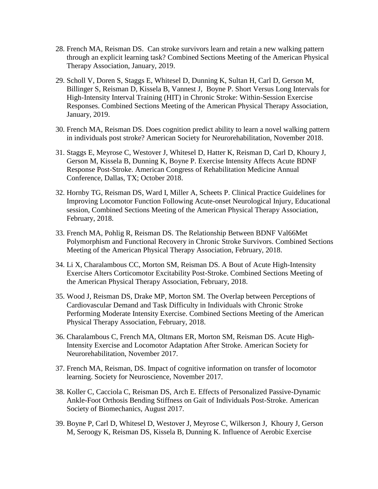- 28. French MA, Reisman DS. Can stroke survivors learn and retain a new walking pattern through an explicit learning task? Combined Sections Meeting of the American Physical Therapy Association, January, 2019.
- 29. Scholl V, Doren S, Staggs E, Whitesel D, Dunning K, Sultan H, Carl D, Gerson M, Billinger S, Reisman D, Kissela B, Vannest J, Boyne P. Short Versus Long Intervals for High-Intensity Interval Training (HIT) in Chronic Stroke: Within-Session Exercise Responses. Combined Sections Meeting of the American Physical Therapy Association, January, 2019.
- 30. French MA, Reisman DS. Does cognition predict ability to learn a novel walking pattern in individuals post stroke? American Society for Neurorehabilitation, November 2018.
- 31. Staggs E, Meyrose C, Westover J, Whitesel D, Hatter K, Reisman D, Carl D, Khoury J, Gerson M, Kissela B, Dunning K, Boyne P. Exercise Intensity Affects Acute BDNF Response Post-Stroke. American Congress of Rehabilitation Medicine Annual Conference, Dallas, TX; October 2018.
- 32. Hornby TG, Reisman DS, Ward I, Miller A, Scheets P. Clinical Practice Guidelines for Improving Locomotor Function Following Acute-onset Neurological Injury, Educational session, Combined Sections Meeting of the American Physical Therapy Association, February, 2018.
- 33. French MA, Pohlig R, Reisman DS. The Relationship Between BDNF Val66Met Polymorphism and Functional Recovery in Chronic Stroke Survivors. Combined Sections Meeting of the American Physical Therapy Association, February, 2018.
- 34. Li X, Charalambous CC, Morton SM, Reisman DS. A Bout of Acute High-Intensity Exercise Alters Corticomotor Excitability Post-Stroke. Combined Sections Meeting of the American Physical Therapy Association, February, 2018.
- 35. Wood J, Reisman DS, Drake MP, Morton SM. The Overlap between Perceptions of Cardiovascular Demand and Task Difficulty in Individuals with Chronic Stroke Performing Moderate Intensity Exercise. Combined Sections Meeting of the American Physical Therapy Association, February, 2018.
- 36. Charalambous C, French MA, Oltmans ER, Morton SM, Reisman DS. Acute High-Intensity Exercise and Locomotor Adaptation After Stroke. American Society for Neurorehabilitation, November 2017.
- 37. French MA, Reisman, DS. Impact of cognitive information on transfer of locomotor learning. Society for Neuroscience, November 2017.
- 38. Koller C, Cacciola C, Reisman DS, Arch E. Effects of Personalized Passive-Dynamic Ankle-Foot Orthosis Bending Stiffness on Gait of Individuals Post-Stroke. American Society of Biomechanics, August 2017.
- 39. Boyne P, Carl D, Whitesel D, Westover J, Meyrose C, Wilkerson J, Khoury J, Gerson M, Seroogy K, Reisman DS, Kissela B, Dunning K. Influence of Aerobic Exercise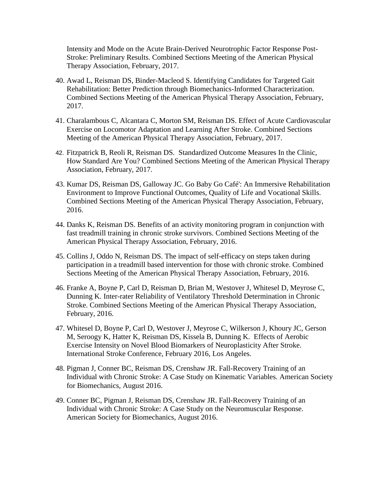Intensity and Mode on the Acute Brain-Derived Neurotrophic Factor Response Post-Stroke: Preliminary Results. Combined Sections Meeting of the American Physical Therapy Association, February, 2017.

- 40. Awad L, Reisman DS, Binder-Macleod S. Identifying Candidates for Targeted Gait Rehabilitation: Better Prediction through Biomechanics-Informed Characterization. Combined Sections Meeting of the American Physical Therapy Association, February, 2017.
- 41. Charalambous C, Alcantara C, Morton SM, Reisman DS. Effect of Acute Cardiovascular Exercise on Locomotor Adaptation and Learning After Stroke. Combined Sections Meeting of the American Physical Therapy Association, February, 2017.
- 42. Fitzpatrick B, Reoli R, Reisman DS. Standardized Outcome Measures In the Clinic, How Standard Are You? Combined Sections Meeting of the American Physical Therapy Association, February, 2017.
- 43. Kumar DS, Reisman DS, Galloway JC. Go Baby Go Café': An Immersive Rehabilitation Environment to Improve Functional Outcomes, Quality of Life and Vocational Skills. Combined Sections Meeting of the American Physical Therapy Association, February, 2016.
- 44. Danks K, Reisman DS. Benefits of an activity monitoring program in conjunction with fast treadmill training in chronic stroke survivors. Combined Sections Meeting of the American Physical Therapy Association, February, 2016.
- 45. Collins J, Oddo N, Reisman DS. The impact of self-efficacy on steps taken during participation in a treadmill based intervention for those with chronic stroke. Combined Sections Meeting of the American Physical Therapy Association, February, 2016.
- 46. Franke A, Boyne P, Carl D, Reisman D, Brian M, Westover J, Whitesel D, Meyrose C, Dunning K. Inter-rater Reliability of Ventilatory Threshold Determination in Chronic Stroke. Combined Sections Meeting of the American Physical Therapy Association, February, 2016.
- 47. Whitesel D, Boyne P, Carl D, Westover J, Meyrose C, Wilkerson J, Khoury JC, Gerson M, Seroogy K, Hatter K, Reisman DS, Kissela B, Dunning K. Effects of Aerobic Exercise Intensity on Novel Blood Biomarkers of Neuroplasticity After Stroke. International Stroke Conference, February 2016, Los Angeles.
- 48. Pigman J, Conner BC, Reisman DS, Crenshaw JR. Fall-Recovery Training of an Individual with Chronic Stroke: A Case Study on Kinematic Variables. American Society for Biomechanics, August 2016.
- 49. Conner BC, Pigman J, Reisman DS, Crenshaw JR. Fall-Recovery Training of an Individual with Chronic Stroke: A Case Study on the Neuromuscular Response. American Society for Biomechanics, August 2016.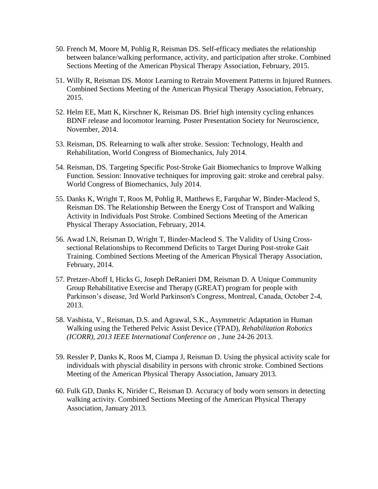- 50. French M, Moore M, Pohlig R, Reisman DS. Self-efficacy mediates the relationship between balance/walking performance, activity, and participation after stroke. Combined Sections Meeting of the American Physical Therapy Association, February, 2015.
- 51. Willy R, Reisman DS. Motor Learning to Retrain Movement Patterns in Injured Runners. Combined Sections Meeting of the American Physical Therapy Association, February, 2015.
- 52. Helm EE, Matt K, Kirschner K, Reisman DS. Brief high intensity cycling enhances BDNF release and locomotor learning. Poster Presentation Society for Neuroscience, November, 2014.
- 53. Reisman, DS. Relearning to walk after stroke. Session: Technology, Health and Rehabilitation, World Congress of Biomechanics, July 2014.
- 54. Reisman, DS. Targeting Specific Post-Stroke Gait Biomechanics to Improve Walking Function. Session: Innovative techniques for improving gait: stroke and cerebral palsy. World Congress of Biomechanics, July 2014.
- 55. Danks K, Wright T, Roos M, Pohlig R, Matthews E, Farquhar W, Binder-Macleod S, Reisman DS. The Relationship Between the Energy Cost of Transport and Walking Activity in Individuals Post Stroke. Combined Sections Meeting of the American Physical Therapy Association, February, 2014.
- 56. Awad LN, Reisman D, Wright T, Binder-Macleod S. The Validity of Using Crosssectional Relationships to Recommend Deficits to Target During Post-stroke Gait Training. Combined Sections Meeting of the American Physical Therapy Association, February, 2014.
- 57. Pretzer-Aboff I, Hicks G, Joseph DeRanieri DM, Reisman D. A Unique Community Group Rehabilitative Exercise and Therapy (GREAT) program for people with Parkinson's disease, 3rd World Parkinson's Congress, Montreal, Canada, October 2-4, 2013.
- 58. Vashista, V., Reisman, D.S. and Agrawal, S.K., Asymmetric Adaptation in Human Walking using the Tethered Pelvic Assist Device (TPAD), *Rehabilitation Robotics (ICORR), 2013 IEEE International Conference on* , June 24-26 2013.
- 59. Ressler P, Danks K, Roos M, Ciampa J, Reisman D. Using the physical activity scale for individuals with physcial disability in persons with chronic stroke. Combined Sections Meeting of the American Physical Therapy Association, January 2013.
- 60. Fulk GD, Danks K, Nirider C, Reisman D. Accuracy of body worn sensors in detecting walking activity. Combined Sections Meeting of the American Physical Therapy Association, January 2013.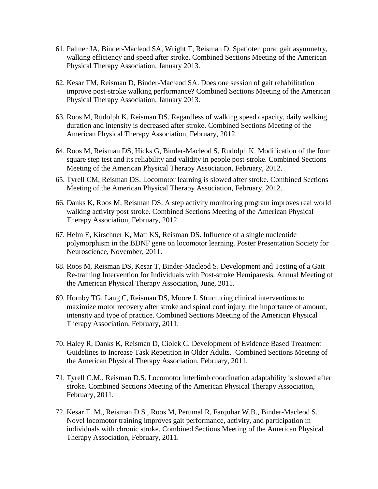- 61. Palmer JA, Binder-Macleod SA, Wright T, Reisman D. Spatiotemporal gait asymmetry, walking efficiency and speed after stroke. Combined Sections Meeting of the American Physical Therapy Association, January 2013.
- 62. Kesar TM, Reisman D, Binder-Macleod SA. Does one session of gait rehabilitation improve post-stroke walking performance? Combined Sections Meeting of the American Physical Therapy Association, January 2013.
- 63. Roos M, Rudolph K, Reisman DS. Regardless of walking speed capacity, daily walking duration and intensity is decreased after stroke. Combined Sections Meeting of the American Physical Therapy Association, February, 2012.
- 64. Roos M, Reisman DS, Hicks G, Binder-Macleod S, Rudolph K. Modification of the four square step test and its reliability and validity in people post-stroke. Combined Sections Meeting of the American Physical Therapy Association, February, 2012.
- 65. Tyrell CM, Reisman DS. Locomotor learning is slowed after stroke. Combined Sections Meeting of the American Physical Therapy Association, February, 2012.
- 66. Danks K, Roos M, Reisman DS. A step activity monitoring program improves real world walking activity post stroke. Combined Sections Meeting of the American Physical Therapy Association, February, 2012.
- 67. Helm E, Kirschner K, Matt KS, Reisman DS. Influence of a single nucleotide polymorphism in the BDNF gene on locomotor learning. Poster Presentation Society for Neuroscience, November, 2011.
- 68. Roos M, Reisman DS, Kesar T, Binder-Macleod S. Development and Testing of a Gait Re-training Intervention for Individuals with Post-stroke Hemiparesis. Annual Meeting of the American Physical Therapy Association, June, 2011.
- 69. Hornby TG, Lang C, Reisman DS, Moore J. Structuring clinical interventions to maximize motor recovery after stroke and spinal cord injury: the importance of amount, intensity and type of practice. Combined Sections Meeting of the American Physical Therapy Association, February, 2011.
- 70. Haley R, Danks K, Reisman D, Ciolek C. Development of Evidence Based Treatment Guidelines to Increase Task Repetition in Older Adults. Combined Sections Meeting of the American Physical Therapy Association, February, 2011.
- 71. Tyrell C.M., Reisman D.S. Locomotor interlimb coordination adaptability is slowed after stroke. Combined Sections Meeting of the American Physical Therapy Association, February, 2011.
- 72. Kesar T. M., Reisman D.S., Roos M, Perumal R, Farquhar W.B., Binder-Macleod S. Novel locomotor training improves gait performance, activity, and participation in individuals with chronic stroke. Combined Sections Meeting of the American Physical Therapy Association, February, 2011.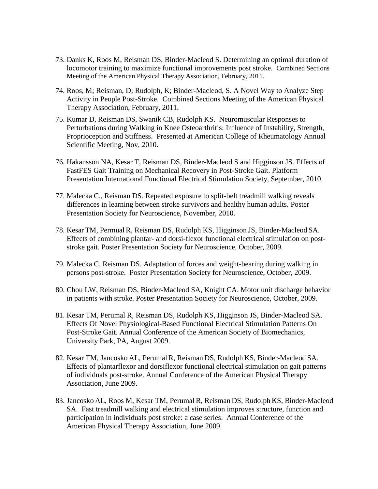- 73. Danks K, Roos M, Reisman DS, Binder-Macleod S. Determining an optimal duration of locomotor training to maximize functional improvements post stroke. Combined Sections Meeting of the American Physical Therapy Association, February, 2011.
- 74. Roos, M; Reisman, D; Rudolph, K; Binder-Macleod, S. A Novel Way to Analyze Step Activity in People Post-Stroke. Combined Sections Meeting of the American Physical Therapy Association, February, 2011.
- 75. Kumar D, Reisman DS, Swanik CB, Rudolph KS. Neuromuscular Responses to Perturbations during Walking in Knee Osteoarthritis: Influence of Instability, Strength, Proprioception and Stiffness. Presented at American College of Rheumatology Annual Scientific Meeting, Nov, 2010.
- 76. Hakansson NA, Kesar T, Reisman DS, Binder-Macleod S and Higginson JS. Effects of FastFES Gait Training on Mechanical Recovery in Post-Stroke Gait. Platform Presentation International Functional Electrical Stimulation Society, September, 2010.
- 77. Malecka C., Reisman DS. Repeated exposure to split-belt treadmill walking reveals differences in learning between stroke survivors and healthy human adults. Poster Presentation Society for Neuroscience, November, 2010.
- 78. Kesar TM, Permual R, Reisman DS, Rudolph KS, Higginson JS, Binder-Macleod SA. Effects of combining plantar- and dorsi-flexor functional electrical stimulation on poststroke gait. Poster Presentation Society for Neuroscience, October, 2009.
- 79. Malecka C, Reisman DS. Adaptation of forces and weight-bearing during walking in persons post-stroke. Poster Presentation Society for Neuroscience, October, 2009.
- 80. Chou LW, Reisman DS, Binder-Macleod SA, Knight CA. Motor unit discharge behavior in patients with stroke. Poster Presentation Society for Neuroscience, October, 2009.
- 81. Kesar TM, Perumal R, Reisman DS, Rudolph KS, Higginson JS, Binder-Macleod SA. Effects Of Novel Physiological-Based Functional Electrical Stimulation Patterns On Post-Stroke Gait. Annual Conference of the American Society of Biomechanics, University Park, PA, August 2009.
- 82. Kesar TM, Jancosko AL, Perumal R, Reisman DS, Rudolph KS, Binder-Macleod SA. Effects of plantarflexor and dorsiflexor functional electrical stimulation on gait patterns of individuals post-stroke. Annual Conference of the American Physical Therapy Association, June 2009.
- 83. Jancosko AL, Roos M, Kesar TM, Perumal R, Reisman DS, Rudolph KS, Binder-Macleod SA. Fast treadmill walking and electrical stimulation improves structure, function and participation in individuals post stroke: a case series. Annual Conference of the American Physical Therapy Association, June 2009.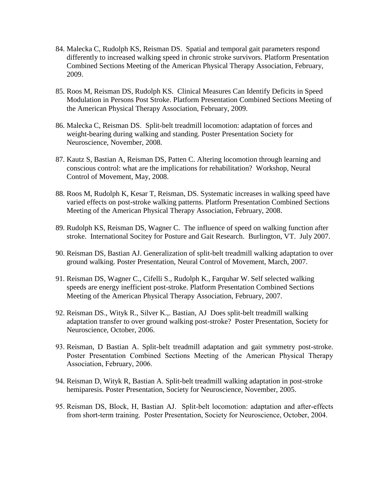- 84. Malecka C, Rudolph KS, Reisman DS. Spatial and temporal gait parameters respond differently to increased walking speed in chronic stroke survivors. Platform Presentation Combined Sections Meeting of the American Physical Therapy Association, February, 2009.
- 85. Roos M, Reisman DS, Rudolph KS. Clinical Measures Can Identify Deficits in Speed Modulation in Persons Post Stroke. Platform Presentation Combined Sections Meeting of the American Physical Therapy Association, February, 2009.
- 86. Malecka C, Reisman DS. Split-belt treadmill locomotion: adaptation of forces and weight-bearing during walking and standing. Poster Presentation Society for Neuroscience, November, 2008.
- 87. Kautz S, Bastian A, Reisman DS, Patten C. Altering locomotion through learning and conscious control: what are the implications for rehabilitation? Workshop, Neural Control of Movement, May, 2008.
- 88. Roos M, Rudolph K, Kesar T, Reisman, DS. Systematic increases in walking speed have varied effects on post-stroke walking patterns. Platform Presentation Combined Sections Meeting of the American Physical Therapy Association, February, 2008.
- 89. Rudolph KS, Reisman DS, Wagner C. The influence of speed on walking function after stroke. International Socitey for Posture and Gait Research. Burlington, VT. July 2007.
- 90. Reisman DS, Bastian AJ. Generalization of split-belt treadmill walking adaptation to over ground walking. Poster Presentation, Neural Control of Movement, March, 2007.
- 91. Reisman DS, Wagner C., Cifelli S., Rudolph K., Farquhar W. Self selected walking speeds are energy inefficient post-stroke. Platform Presentation Combined Sections Meeting of the American Physical Therapy Association, February, 2007.
- 92. Reisman DS., Wityk R., Silver K.,. Bastian, AJ Does split-belt treadmill walking adaptation transfer to over ground walking post-stroke? Poster Presentation, Society for Neuroscience, October, 2006.
- 93. Reisman, D Bastian A. Split-belt treadmill adaptation and gait symmetry post-stroke. Poster Presentation Combined Sections Meeting of the American Physical Therapy Association, February, 2006.
- 94. Reisman D, Wityk R, Bastian A. Split-belt treadmill walking adaptation in post-stroke hemiparesis. Poster Presentation, Society for Neuroscience, November, 2005.
- 95. Reisman DS, Block, H, Bastian AJ. Split-belt locomotion: adaptation and after-effects from short-term training. Poster Presentation, Society for Neuroscience, October, 2004.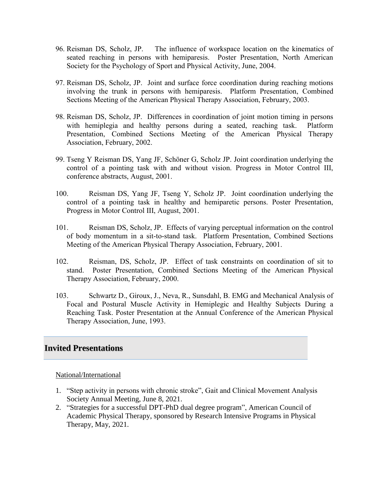- 96. Reisman DS, Scholz, JP. The influence of workspace location on the kinematics of seated reaching in persons with hemiparesis. Poster Presentation, North American Society for the Psychology of Sport and Physical Activity, June, 2004.
- 97. Reisman DS, Scholz, JP. Joint and surface force coordination during reaching motions involving the trunk in persons with hemiparesis. Platform Presentation, Combined Sections Meeting of the American Physical Therapy Association, February, 2003.
- 98. Reisman DS, Scholz, JP. Differences in coordination of joint motion timing in persons with hemiplegia and healthy persons during a seated, reaching task. Platform Presentation, Combined Sections Meeting of the American Physical Therapy Association, February, 2002.
- 99. Tseng Y Reisman DS, Yang JF, Schöner G, Scholz JP. Joint coordination underlying the control of a pointing task with and without vision. Progress in Motor Control III, conference abstracts, August, 2001.
- 100. Reisman DS, Yang JF, Tseng Y, Scholz JP. Joint coordination underlying the control of a pointing task in healthy and hemiparetic persons. Poster Presentation, Progress in Motor Control III, August, 2001.
- 101. Reisman DS, Scholz, JP. Effects of varying perceptual information on the control of body momentum in a sit-to-stand task. Platform Presentation, Combined Sections Meeting of the American Physical Therapy Association, February, 2001.
- 102. Reisman, DS, Scholz, JP. Effect of task constraints on coordination of sit to stand. Poster Presentation, Combined Sections Meeting of the American Physical Therapy Association, February, 2000.
- 103. Schwartz D., Giroux, J., Neva, R., Sunsdahl, B. EMG and Mechanical Analysis of Focal and Postural Muscle Activity in Hemiplegic and Healthy Subjects During a Reaching Task. Poster Presentation at the Annual Conference of the American Physical Therapy Association, June, 1993.

# **Invited Presentations**

#### National/International

- 1. "Step activity in persons with chronic stroke", Gait and Clinical Movement Analysis Society Annual Meeting, June 8, 2021.
- 2. "Strategies for a successful DPT-PhD dual degree program", American Council of Academic Physical Therapy, sponsored by Research Intensive Programs in Physical Therapy, May, 2021.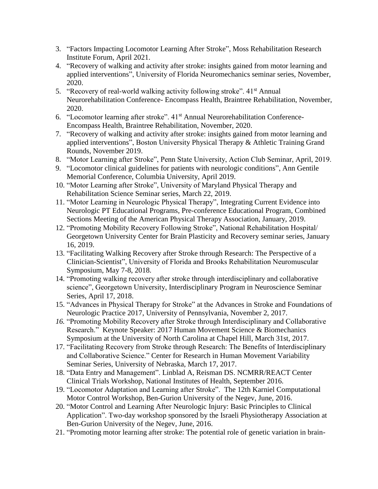- 3. "Factors Impacting Locomotor Learning After Stroke", Moss Rehabilitation Research Institute Forum, April 2021.
- 4. "Recovery of walking and activity after stroke: insights gained from motor learning and applied interventions", University of Florida Neuromechanics seminar series, November, 2020.
- 5. "Recovery of real-world walking activity following stroke". 41<sup>st</sup> Annual Neurorehabilitation Conference- Encompass Health, Braintree Rehabilitation, November, 2020.
- 6. "Locomotor learning after stroke". 41st Annual Neurorehabilitation Conference-Encompass Health, Braintree Rehabilitation, November, 2020.
- 7. "Recovery of walking and activity after stroke: insights gained from motor learning and applied interventions", Boston University Physical Therapy & Athletic Training Grand Rounds, November 2019.
- 8. "Motor Learning after Stroke", Penn State University, Action Club Seminar, April, 2019.
- 9. "Locomotor clinical guidelines for patients with neurologic conditions", Ann Gentile Memorial Conference, Columbia University, April 2019.
- 10. "Motor Learning after Stroke", University of Maryland Physical Therapy and Rehabilitation Science Seminar series, March 22, 2019.
- 11. "Motor Learning in Neurologic Physical Therapy", Integrating Current Evidence into Neurologic PT Educational Programs, Pre-conference Educational Program, Combined Sections Meeting of the American Physical Therapy Association, January, 2019.
- 12. "Promoting Mobility Recovery Following Stroke", National Rehabilitation Hospital/ Georgetown University Center for Brain Plasticity and Recovery seminar series, January 16, 2019.
- 13. "Facilitating Walking Recovery after Stroke through Research: The Perspective of a Clinician-Scientist", University of Florida and Brooks Rehabilitation Neuromuscular Symposium, May 7-8, 2018.
- 14. "Promoting walking recovery after stroke through interdisciplinary and collaborative science", Georgetown University, Interdisciplinary Program in Neuroscience Seminar Series, April 17, 2018.
- 15. "Advances in Physical Therapy for Stroke" at the Advances in Stroke and Foundations of Neurologic Practice 2017, University of Pennsylvania, November 2, 2017.
- *16.* "Promoting Mobility Recovery after Stroke through Interdisciplinary and Collaborative Research." Keynote Speaker: 2017 Human Movement Science & Biomechanics Symposium at the University of North Carolina at Chapel Hill*,* March 31st, 2017.
- 17. "Facilitating Recovery from Stroke through Research: The Benefits of Interdisciplinary and Collaborative Science." Center for Research in Human Movement Variability Seminar Series, University of Nebraska, March 17, 2017.
- 18. "Data Entry and Management". Linblad A, Reisman DS. NCMRR/REACT Center Clinical Trials Workshop, National Institutes of Health, September 2016.
- 19. "Locomotor Adaptation and Learning after Stroke". The 12th Karniel Computational Motor Control Workshop, Ben-Gurion University of the Negev, June, 2016.
- 20. "Motor Control and Learning After Neurologic Injury: Basic Principles to Clinical Application". Two-day workshop sponsored by the Israeli Physiotherapy Association at Ben-Gurion University of the Negev, June, 2016.
- 21. "Promoting motor learning after stroke: The potential role of genetic variation in brain-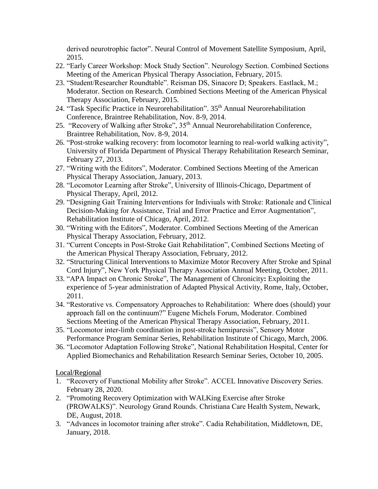derived neurotrophic factor". Neural Control of Movement Satellite Symposium, April, 2015.

- 22. "Early Career Workshop: Mock Study Section". Neurology Section. Combined Sections Meeting of the American Physical Therapy Association, February, 2015.
- 23. "Student/Researcher Roundtable". Reisman DS, Sinacore D; Speakers. Eastlack, M.; Moderator. Section on Research. Combined Sections Meeting of the American Physical Therapy Association, February, 2015.
- 24. ["Task Specific Practice in Neurorehabilitation"](http://www.gettingbacktolife.com/sites/default/files/u28/A2%20-%20Reisman%20-%20Task%20Specific%20Practice%20in%20Neurorehabilitation.pdf). 35<sup>th</sup> Annual Neurorehabilitation Conference, Braintree Rehabilitation, Nov. 8-9, 2014.
- 25. "Recovery of Walking after Stroke", 35<sup>th</sup> Annual Neurorehabilitation Conference, Braintree Rehabilitation, Nov. 8-9, 2014.
- 26. "Post-stroke walking recovery: from locomotor learning to real-world walking activity", University of Florida Department of Physical Therapy Rehabilitation Research Seminar, February 27, 2013.
- 27. "Writing with the Editors", Moderator. Combined Sections Meeting of the American Physical Therapy Association, January, 2013.
- 28. "Locomotor Learning after Stroke", University of Illinois-Chicago, Department of Physical Therapy, April, 2012.
- 29. "Designing Gait Training Interventions for Indiviuals with Stroke: Rationale and Clinical Decision-Making for Assistance, Trial and Error Practice and Error Augmentation", Rehabilitation Institute of Chicago, April, 2012.
- 30. "Writing with the Editors", Moderator. Combined Sections Meeting of the American Physical Therapy Association, February, 2012.
- 31. "Current Concepts in Post-Stroke Gait Rehabilitation", Combined Sections Meeting of the American Physical Therapy Association, February, 2012.
- 32. ["Structuring Clinical Interventions to Maximize Motor Recovery After Stroke and Spinal](https://m360.nypta.org/event/session.aspx?id=34963)  [Cord Injury"](https://m360.nypta.org/event/session.aspx?id=34963), New York Physical Therapy Association Annual Meeting, October, 2011.
- 33. "APA Impact on Chronic Stroke", The Management of Chronicity**:** Exploiting the experience of 5-year administration of Adapted Physical Activity, Rome, Italy, October, 2011.
- 34. "Restorative vs. Compensatory Approaches to Rehabilitation: Where does (should) your approach fall on the continuum?" Eugene Michels Forum, Moderator. Combined Sections Meeting of the American Physical Therapy Association, February, 2011.
- 35. "Locomotor inter-limb coordination in post-stroke hemiparesis", Sensory Motor Performance Program Seminar Series, Rehabilitation Institute of Chicago, March, 2006.
- 36. "Locomotor Adaptation Following Stroke", National Rehabilitation Hospital, Center for Applied Biomechanics and Rehabilitation Research Seminar Series, October 10, 2005.

Local/Regional

- 1. "Recovery of Functional Mobility after Stroke". ACCEL Innovative Discovery Series. February 28, 2020.
- 2. "Promoting Recovery Optimization with WALKing Exercise after Stroke (PROWALKS)". Neurology Grand Rounds. Christiana Care Health System, Newark, DE, August, 2018.
- 3. "Advances in locomotor training after stroke". Cadia Rehabilitation, Middletown, DE, January, 2018.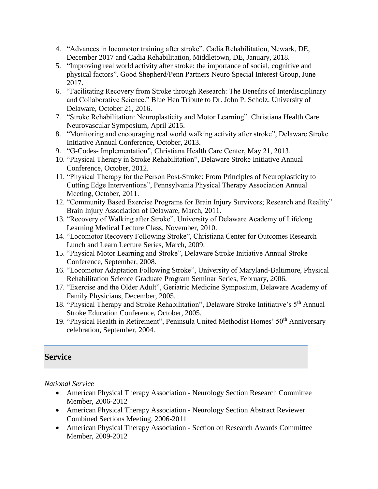- 4. "Advances in locomotor training after stroke". Cadia Rehabilitation, Newark, DE, December 2017 and Cadia Rehabilitation, Middletown, DE, January, 2018.
- 5. "Improving real world activity after stroke: the importance of social, cognitive and physical factors". Good Shepherd/Penn Partners Neuro Special Interest Group, June 2017.
- 6. "Facilitating Recovery from Stroke through Research: The Benefits of Interdisciplinary and Collaborative Science." Blue Hen Tribute to Dr. John P. Scholz. University of Delaware, October 21, 2016.
- 7. "Stroke Rehabilitation: Neuroplasticity and Motor Learning". Christiana Health Care Neurovascular Symposium, April 2015.
- 8. "Monitoring and encouraging real world walking activity after stroke", Delaware Stroke Initiative Annual Conference, October, 2013.
- 9. "G-Codes- Implementation", Christiana Health Care Center, May 21, 2013.
- 10. "Physical Therapy in Stroke Rehabilitation", Delaware Stroke Initiative Annual Conference, October, 2012.
- 11. "Physical Therapy for the Person Post-Stroke: From Principles of Neuroplasticity to Cutting Edge Interventions", Pennsylvania Physical Therapy Association Annual Meeting, October, 2011.
- 12. "Community Based Exercise Programs for Brain Injury Survivors; Research and Reality" Brain Injury Association of Delaware, March, 2011.
- 13. "Recovery of Walking after Stroke", University of Delaware Academy of Lifelong Learning Medical Lecture Class, November, 2010.
- 14. "Locomotor Recovery Following Stroke", Christiana Center for Outcomes Research Lunch and Learn Lecture Series, March, 2009.
- 15. "Physical Motor Learning and Stroke", Delaware Stroke Initiative Annual Stroke Conference, September, 2008.
- 16. "Locomotor Adaptation Following Stroke", University of Maryland-Baltimore, Physical Rehabilitation Science Graduate Program Seminar Series, February, 2006.
- 17. "Exercise and the Older Adult", Geriatric Medicine Symposium, Delaware Academy of Family Physicians, December, 2005.
- 18. "Physical Therapy and Stroke Rehabilitation", Delaware Stroke Intitiative's 5th Annual Stroke Education Conference, October, 2005.
- 19. "Physical Health in Retirement", Peninsula United Methodist Homes' 50<sup>th</sup> Anniversary celebration, September, 2004.

# **Service**

*National Service*

- American Physical Therapy Association Neurology Section Research Committee Member, 2006-2012
- American Physical Therapy Association Neurology Section Abstract Reviewer Combined Sections Meeting, 2006-2011
- American Physical Therapy Association Section on Research Awards Committee Member, 2009-2012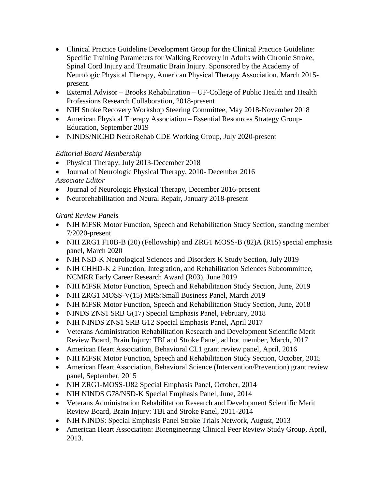- Clinical Practice Guideline Development Group for the Clinical Practice Guideline: Specific Training Parameters for Walking Recovery in Adults with Chronic Stroke, Spinal Cord Injury and Traumatic Brain Injury. Sponsored by the Academy of Neurologic Physical Therapy, American Physical Therapy Association. March 2015 present.
- External Advisor Brooks Rehabilitation UF-College of Public Health and Health Professions Research Collaboration, 2018-present
- NIH Stroke Recovery Workshop Steering Committee, May 2018-November 2018
- American Physical Therapy Association Essential Resources Strategy Group-Education, September 2019
- NINDS/NICHD NeuroRehab CDE Working Group, July 2020-present

# *Editorial Board Membership*

- Physical Therapy, July 2013-December 2018
- Journal of Neurologic Physical Therapy, 2010- December 2016

*Associate Editor*

- Journal of Neurologic Physical Therapy, December 2016-present
- Neurorehabilitation and Neural Repair, January 2018-present

# *Grant Review Panels*

- NIH MFSR Motor Function, Speech and Rehabilitation Study Section, standing member 7/2020-present
- NIH ZRG1 F10B-B (20) (Fellowship) and ZRG1 MOSS-B (82)A (R15) special emphasis panel, March 2020
- NIH NSD-K Neurological Sciences and Disorders K Study Section, July 2019
- NIH CHHD-K 2 Function, Integration, and Rehabilitation Sciences Subcommittee, NCMRR Early Career Research Award (R03), June 2019
- NIH MFSR Motor Function, Speech and Rehabilitation Study Section, June, 2019
- NIH ZRG1 MOSS-V(15) MRS: Small Business Panel, March 2019
- NIH MFSR Motor Function, Speech and Rehabilitation Study Section, June, 2018
- NINDS ZNS1 SRB G(17) Special Emphasis Panel, February, 2018
- NIH NINDS ZNS1 SRB G12 Special Emphasis Panel, April 2017
- Veterans Administration Rehabilitation Research and Development Scientific Merit Review Board, Brain Injury: TBI and Stroke Panel, ad hoc member, March, 2017
- American Heart Association, Behavioral CL1 grant review panel, April, 2016
- NIH MFSR Motor Function, Speech and Rehabilitation Study Section, October, 2015
- American Heart Association, Behavioral Science (Intervention/Prevention) grant review panel, September, 2015
- NIH ZRG1-MOSS-U82 Special Emphasis Panel, October, 2014
- NIH NINDS G78/NSD-K Special Emphasis Panel, June, 2014
- Veterans Administration Rehabilitation Research and Development Scientific Merit Review Board, Brain Injury: TBI and Stroke Panel, 2011-2014
- NIH NINDS: Special Emphasis Panel Stroke Trials Network, August, 2013
- American Heart Association: Bioengineering Clinical Peer Review Study Group, April, 2013.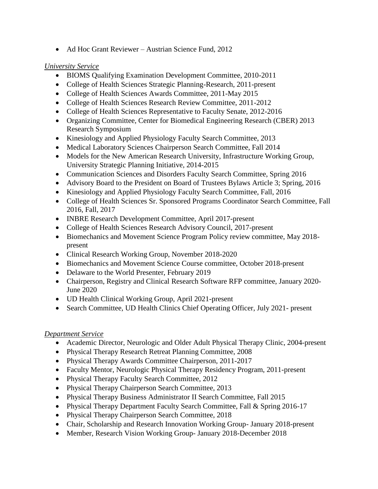• Ad Hoc Grant Reviewer – Austrian Science Fund, 2012

# *University Service*

- BIOMS Qualifying Examination Development Committee, 2010-2011
- College of Health Sciences Strategic Planning-Research, 2011-present
- College of Health Sciences Awards Committee, 2011-May 2015
- College of Health Sciences Research Review Committee, 2011-2012
- College of Health Sciences Representative to Faculty Senate, 2012-2016
- Organizing Committee, Center for Biomedical Engineering Research (CBER) 2013 Research Symposium
- Kinesiology and Applied Physiology Faculty Search Committee, 2013
- Medical Laboratory Sciences Chairperson Search Committee, Fall 2014
- Models for the New American Research University, Infrastructure Working Group, University Strategic Planning Initiative, 2014-2015
- Communication Sciences and Disorders Faculty Search Committee, Spring 2016
- Advisory Board to the President on Board of Trustees Bylaws Article 3; Spring, 2016
- Kinesiology and Applied Physiology Faculty Search Committee, Fall, 2016
- College of Health Sciences Sr. Sponsored Programs Coordinator Search Committee, Fall 2016, Fall, 2017
- INBRE Research Development Committee, April 2017-present
- College of Health Sciences Research Advisory Council, 2017-present
- Biomechanics and Movement Science Program Policy review committee, May 2018present
- Clinical Research Working Group, November 2018-2020
- Biomechanics and Movement Science Course committee, October 2018-present
- Delaware to the World Presenter, February 2019
- Chairperson, Registry and Clinical Research Software RFP committee, January 2020- June 2020
- UD Health Clinical Working Group, April 2021-present
- Search Committee, UD Health Clinics Chief Operating Officer, July 2021- present

# *Department Service*

- Academic Director, Neurologic and Older Adult Physical Therapy Clinic, 2004-present
- Physical Therapy Research Retreat Planning Committee, 2008
- Physical Therapy Awards Committee Chairperson, 2011-2017
- Faculty Mentor, Neurologic Physical Therapy Residency Program, 2011-present
- Physical Therapy Faculty Search Committee, 2012
- Physical Therapy Chairperson Search Committee, 2013
- Physical Therapy Business Administrator II Search Committee, Fall 2015
- Physical Therapy Department Faculty Search Committee, Fall & Spring 2016-17
- Physical Therapy Chairperson Search Committee, 2018
- Chair, Scholarship and Research Innovation Working Group- January 2018-present
- Member, Research Vision Working Group- January 2018-December 2018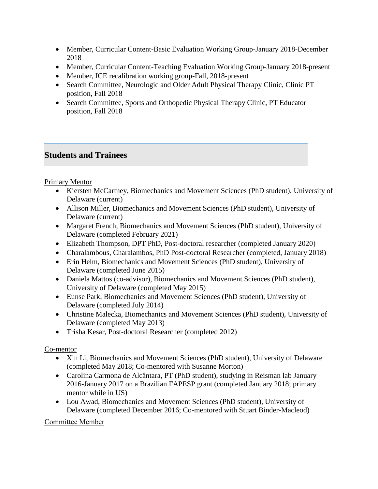- Member, Curricular Content-Basic Evaluation Working Group-January 2018-December 2018
- Member, Curricular Content-Teaching Evaluation Working Group-January 2018-present
- Member, ICE recalibration working group-Fall, 2018-present
- Search Committee, Neurologic and Older Adult Physical Therapy Clinic, Clinic PT position, Fall 2018
- Search Committee, Sports and Orthopedic Physical Therapy Clinic, PT Educator position, Fall 2018

# **Students and Trainees**

# Primary Mentor

- Kiersten McCartney, Biomechanics and Movement Sciences (PhD student), University of Delaware (current)
- Allison Miller, Biomechanics and Movement Sciences (PhD student), University of Delaware (current)
- Margaret French, Biomechanics and Movement Sciences (PhD student), University of Delaware (completed February 2021)
- Elizabeth Thompson, DPT PhD, Post-doctoral researcher (completed January 2020)
- Charalambous, Charalambos, PhD Post-doctoral Researcher (completed, January 2018)
- Erin Helm, Biomechanics and Movement Sciences (PhD student), University of Delaware (completed June 2015)
- Daniela Mattos (co-advisor), Biomechanics and Movement Sciences (PhD student), University of Delaware (completed May 2015)
- Eunse Park, Biomechanics and Movement Sciences (PhD student), University of Delaware (completed July 2014)
- Christine Malecka, Biomechanics and Movement Sciences (PhD student), University of Delaware (completed May 2013)
- Trisha Kesar, Post-doctoral Researcher (completed 2012)

# Co-mentor

- Xin Li, Biomechanics and Movement Sciences (PhD student), University of Delaware (completed May 2018; Co-mentored with Susanne Morton)
- [Carolina Carmona de Alcântara,](https://plus.google.com/u/0/110156737082102835398?prsrc=4) PT (PhD student), studying in Reisman lab January 2016-January 2017 on a Brazilian FAPESP grant (completed January 2018; primary mentor while in US)
- Lou Awad, Biomechanics and Movement Sciences (PhD student), University of Delaware (completed December 2016; Co-mentored with Stuart Binder-Macleod)

# Committee Member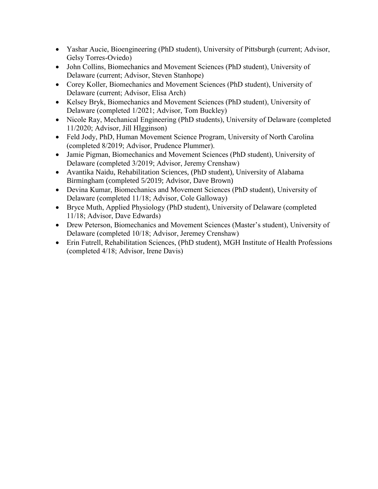- Yashar Aucie, Bioengineering (PhD student), University of Pittsburgh (current; Advisor, Gelsy Torres-Oviedo)
- John Collins, Biomechanics and Movement Sciences (PhD student), University of Delaware (current; Advisor, Steven Stanhope)
- Corey Koller, Biomechanics and Movement Sciences (PhD student), University of Delaware (current; Advisor, Elisa Arch)
- Kelsey Bryk, Biomechanics and Movement Sciences (PhD student), University of Delaware (completed 1/2021; Advisor, Tom Buckley)
- Nicole Ray, Mechanical Engineering (PhD students), University of Delaware (completed 11/2020; Advisor, Jill HIgginson)
- Feld Jody, PhD, Human Movement Science Program, University of North Carolina (completed 8/2019; Advisor, Prudence Plummer).
- Jamie Pigman, Biomechanics and Movement Sciences (PhD student), University of Delaware (completed 3/2019; Advisor, Jeremy Crenshaw)
- Avantika Naidu, Rehabilitation Sciences, (PhD student), University of Alabama Birmingham (completed 5/2019; Advisor, Dave Brown)
- Devina Kumar, Biomechanics and Movement Sciences (PhD student), University of Delaware (completed 11/18; Advisor, Cole Galloway)
- Bryce Muth, Applied Physiology (PhD student), University of Delaware (completed 11/18; Advisor, Dave Edwards)
- Drew Peterson, Biomechanics and Movement Sciences (Master's student), University of Delaware (completed 10/18; Advisor, Jeremey Crenshaw)
- Erin Futrell, Rehabilitation Sciences, (PhD student), MGH Institute of Health Professions (completed 4/18; Advisor, Irene Davis)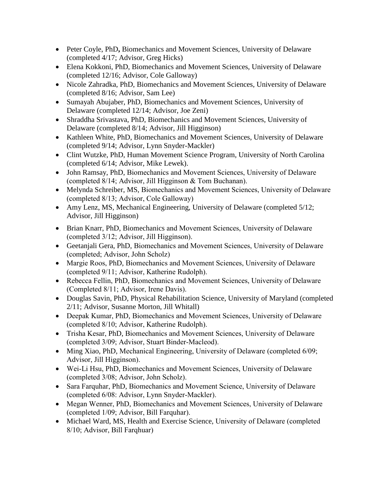- Peter Coyle, PhD**,** Biomechanics and Movement Sciences, University of Delaware (completed 4/17; Advisor, Greg Hicks)
- Elena Kokkoni, PhD, Biomechanics and Movement Sciences, University of Delaware (completed 12/16; Advisor, Cole Galloway)
- Nicole Zahradka, PhD, Biomechanics and Movement Sciences, University of Delaware (completed 8/16; Advisor, Sam Lee)
- Sumayah Abujaber, PhD, Biomechanics and Movement Sciences, University of Delaware (completed 12/14; Advisor, Joe Zeni)
- Shraddha Srivastava, PhD, Biomechanics and Movement Sciences, University of Delaware (completed 8/14; Advisor, Jill Higginson)
- Kathleen White, PhD, Biomechanics and Movement Sciences, University of Delaware (completed 9/14; Advisor, Lynn Snyder-Mackler)
- Clint Wutzke, PhD, Human Movement Science Program, University of North Carolina (completed 6/14; Advisor, Mike Lewek).
- John Ramsay, PhD, Biomechanics and Movement Sciences, University of Delaware (completed 8/14; Advisor, Jill Higginson & Tom Buchanan).
- Melynda Schreiber, MS, Biomechanics and Movement Sciences, University of Delaware (completed 8/13; Advisor, Cole Galloway)
- Amy Lenz, MS, Mechanical Engineering, University of Delaware (completed 5/12; Advisor, Jill Higginson)
- Brian Knarr, PhD, Biomechanics and Movement Sciences, University of Delaware (completed 3/12; Advisor, Jill Higginson).
- Geetanjali Gera, PhD, Biomechanics and Movement Sciences, University of Delaware (completed; Advisor, John Scholz)
- Margie Roos, PhD, Biomechanics and Movement Sciences, University of Delaware (completed 9/11; Advisor, Katherine Rudolph).
- Rebecca Fellin, PhD, Biomechanics and Movement Sciences, University of Delaware (Completed 8/11; Advisor, Irene Davis).
- Douglas Savin, PhD, Physical Rehabilitation Science, University of Maryland (completed 2/11; Advisor, Susanne Morton, Jill Whitall)
- Deepak Kumar, PhD, Biomechanics and Movement Sciences, University of Delaware (completed 8/10; Advisor, Katherine Rudolph).
- Trisha Kesar, PhD, Biomechanics and Movement Sciences, University of Delaware (completed 3/09; Advisor, Stuart Binder-Macleod).
- Ming Xiao, PhD, Mechanical Engineering, University of Delaware (completed 6/09; Advisor, Jill Higginson).
- Wei-Li Hsu, PhD, Biomechanics and Movement Sciences, University of Delaware (completed 3/08; Advisor, John Scholz).
- Sara Farquhar, PhD, Biomechanics and Movement Science, University of Delaware (completed 6/08: Advisor, Lynn Snyder-Mackler).
- Megan Wenner, PhD, Biomechanics and Movement Sciences, University of Delaware (completed 1/09; Advisor, Bill Farquhar).
- Michael Ward, MS, Health and Exercise Science, University of Delaware (completed 8/10; Advisor, Bill Farqhuar)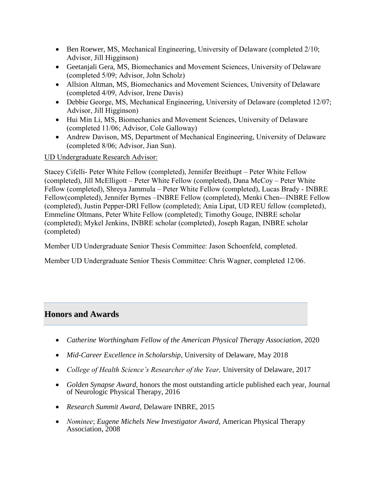- Ben Roewer, MS, Mechanical Engineering, University of Delaware (completed 2/10; Advisor, Jill Higginson)
- Geetanjali Gera, MS, Biomechanics and Movement Sciences, University of Delaware (completed 5/09; Advisor, John Scholz)
- Allsion Altman, MS, Biomechanics and Movement Sciences, University of Delaware (completed 4/09, Advisor, Irene Davis)
- Debbie George, MS, Mechanical Engineering, University of Delaware (completed 12/07; Advisor, Jill Higginson)
- Hui Min Li, MS, Biomechanics and Movement Sciences, University of Delaware (completed 11/06; Advisor, Cole Galloway)
- Andrew Davison, MS, Department of Mechanical Engineering, University of Delaware (completed 8/06; Advisor, Jian Sun).

UD Undergraduate Research Advisor:

Stacey Cifelli- Peter White Fellow (completed), Jennifer Breithupt – Peter White Fellow (completed), Jill McElligott – Peter White Fellow (completed), Dana McCoy – Peter White Fellow (completed), Shreya Jammula – Peter White Fellow (completed), Lucas Brady - INBRE Fellow(completed), Jennifer Byrnes –INBRE Fellow (completed), Menki Chen-–INBRE Fellow (completed), Justin Pepper-DRI Fellow (completed); Ania Lipat, UD REU fellow (completed), Emmeline Oltmans, Peter White Fellow (completed); Timothy Gouge, INBRE scholar (completed); Mykel Jenkins, INBRE scholar (completed), Joseph Ragan, INBRE scholar (completed)

Member UD Undergraduate Senior Thesis Committee: Jason Schoenfeld, completed.

Member UD Undergraduate Senior Thesis Committee: Chris Wagner, completed 12/06.

# **Honors and Awards**

- *Catherine Worthingham Fellow of the American Physical Therapy Association*, 2020
- *Mid-Career Excellence in Scholarship,* University of Delaware, May 2018
- College of Health Science's Researcher of the Year, University of Delaware, 2017
- *Golden Synapse Award,* honors the most outstanding article published each year, Journal of Neurologic Physical Therapy, 2016
- *Research Summit Award,* Delaware INBRE, 2015
- *Nominee*; *Eugene Michels New Investigator Award,* American Physical Therapy Association, 2008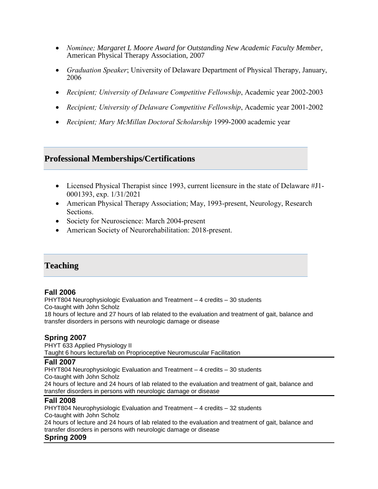- *Nominee; Margaret L Moore Award for Outstanding New Academic Faculty Member*, American Physical Therapy Association, 2007
- *Graduation Speaker*; University of Delaware Department of Physical Therapy, January, 2006
- *Recipient; University of Delaware Competitive Fellowship*, Academic year 2002-2003
- *Recipient; University of Delaware Competitive Fellowship*, Academic year 2001-2002
- *Recipient; Mary McMillan Doctoral Scholarship* 1999-2000 academic year

# **Professional Memberships/Certifications**

- Licensed Physical Therapist since 1993, current licensure in the state of Delaware #J1- 0001393, exp. 1/31/2021
- American Physical Therapy Association; May, 1993-present, Neurology, Research Sections.
- Society for Neuroscience: March 2004-present
- American Society of Neurorehabilitation: 2018-present.

# **Teaching**

#### **Fall 2006**

PHYT804 Neurophysiologic Evaluation and Treatment – 4 credits – 30 students Co-taught with John Scholz 18 hours of lecture and 27 hours of lab related to the evaluation and treatment of gait, balance and transfer disorders in persons with neurologic damage or disease

#### **Spring 2007**

PHYT 633 Applied Physiology II Taught 6 hours lecture/lab on Proprioceptive Neuromuscular Facilitation

#### **Fall 2007**

PHYT804 Neurophysiologic Evaluation and Treatment – 4 credits – 30 students Co-taught with John Scholz 24 hours of lecture and 24 hours of lab related to the evaluation and treatment of gait, balance and transfer disorders in persons with neurologic damage or disease

#### **Fall 2008**

PHYT804 Neurophysiologic Evaluation and Treatment – 4 credits – 32 students Co-taught with John Scholz

24 hours of lecture and 24 hours of lab related to the evaluation and treatment of gait, balance and transfer disorders in persons with neurologic damage or disease

#### **Spring 2009**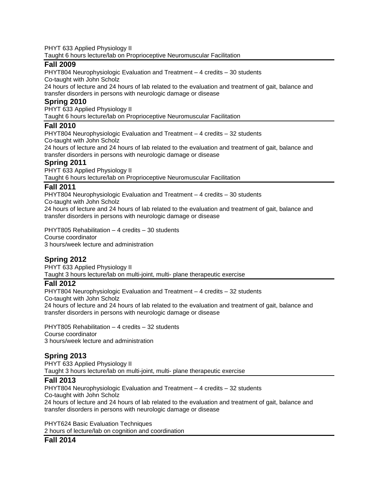PHYT 633 Applied Physiology II Taught 6 hours lecture/lab on Proprioceptive Neuromuscular Facilitation

#### **Fall 2009**

PHYT804 Neurophysiologic Evaluation and Treatment – 4 credits – 30 students Co-taught with John Scholz

24 hours of lecture and 24 hours of lab related to the evaluation and treatment of gait, balance and transfer disorders in persons with neurologic damage or disease

#### **Spring 2010**

PHYT 633 Applied Physiology II

Taught 6 hours lecture/lab on Proprioceptive Neuromuscular Facilitation

#### **Fall 2010**

PHYT804 Neurophysiologic Evaluation and Treatment – 4 credits – 32 students Co-taught with John Scholz

24 hours of lecture and 24 hours of lab related to the evaluation and treatment of gait, balance and transfer disorders in persons with neurologic damage or disease

#### **Spring 2011**

PHYT 633 Applied Physiology II Taught 6 hours lecture/lab on Proprioceptive Neuromuscular Facilitation

# **Fall 2011**

PHYT804 Neurophysiologic Evaluation and Treatment – 4 credits – 30 students Co-taught with John Scholz 24 hours of lecture and 24 hours of lab related to the evaluation and treatment of gait, balance and transfer disorders in persons with neurologic damage or disease

PHYT805 Rehabilitation – 4 credits – 30 students Course coordinator 3 hours/week lecture and administration

# **Spring 2012**

PHYT 633 Applied Physiology II Taught 3 hours lecture/lab on multi-joint, multi- plane therapeutic exercise

#### **Fall 2012**

PHYT804 Neurophysiologic Evaluation and Treatment – 4 credits – 32 students Co-taught with John Scholz 24 hours of lecture and 24 hours of lab related to the evaluation and treatment of gait, balance and transfer disorders in persons with neurologic damage or disease

PHYT805 Rehabilitation – 4 credits – 32 students Course coordinator 3 hours/week lecture and administration

# **Spring 2013**

PHYT 633 Applied Physiology II Taught 3 hours lecture/lab on multi-joint, multi- plane therapeutic exercise

# **Fall 2013**

PHYT804 Neurophysiologic Evaluation and Treatment – 4 credits – 32 students Co-taught with John Scholz 24 hours of lecture and 24 hours of lab related to the evaluation and treatment of gait, balance and transfer disorders in persons with neurologic damage or disease

PHYT624 Basic Evaluation Techniques 2 hours of lecture/lab on cognition and coordination

# **Fall 2014**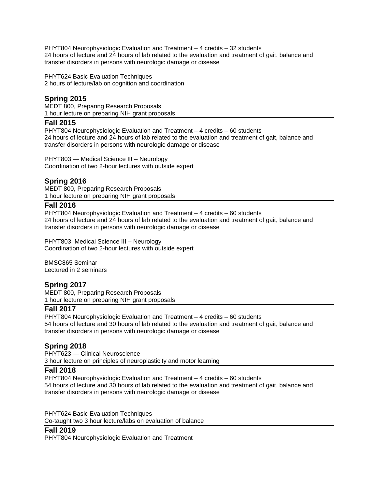PHYT804 Neurophysiologic Evaluation and Treatment – 4 credits – 32 students 24 hours of lecture and 24 hours of lab related to the evaluation and treatment of gait, balance and transfer disorders in persons with neurologic damage or disease

PHYT624 Basic Evaluation Techniques 2 hours of lecture/lab on cognition and coordination

# **Spring 2015**

MEDT 800, Preparing Research Proposals 1 hour lecture on preparing NIH grant proposals

#### **Fall 2015**

PHYT804 Neurophysiologic Evaluation and Treatment – 4 credits – 60 students 24 hours of lecture and 24 hours of lab related to the evaluation and treatment of gait, balance and transfer disorders in persons with neurologic damage or disease

PHYT803 — Medical Science III – Neurology Coordination of two 2-hour lectures with outside expert

# **Spring 2016**

MEDT 800, Preparing Research Proposals 1 hour lecture on preparing NIH grant proposals

#### **Fall 2016**

PHYT804 Neurophysiologic Evaluation and Treatment – 4 credits – 60 students 24 hours of lecture and 24 hours of lab related to the evaluation and treatment of gait, balance and transfer disorders in persons with neurologic damage or disease

PHYT803 Medical Science III – Neurology Coordination of two 2-hour lectures with outside expert

BMSC865 Seminar Lectured in 2 seminars

# **Spring 2017**

MEDT 800, Preparing Research Proposals 1 hour lecture on preparing NIH grant proposals

# **Fall 2017**

PHYT804 Neurophysiologic Evaluation and Treatment – 4 credits – 60 students 54 hours of lecture and 30 hours of lab related to the evaluation and treatment of gait, balance and transfer disorders in persons with neurologic damage or disease

# **Spring 2018**

PHYT623 — Clinical Neuroscience 3 hour lecture on principles of neuroplasticity and motor learning

#### **Fall 2018**

PHYT804 Neurophysiologic Evaluation and Treatment – 4 credits – 60 students 54 hours of lecture and 30 hours of lab related to the evaluation and treatment of gait, balance and transfer disorders in persons with neurologic damage or disease

PHYT624 Basic Evaluation Techniques Co-taught two 3 hour lecture/labs on evaluation of balance

# **Fall 2019**

PHYT804 Neurophysiologic Evaluation and Treatment